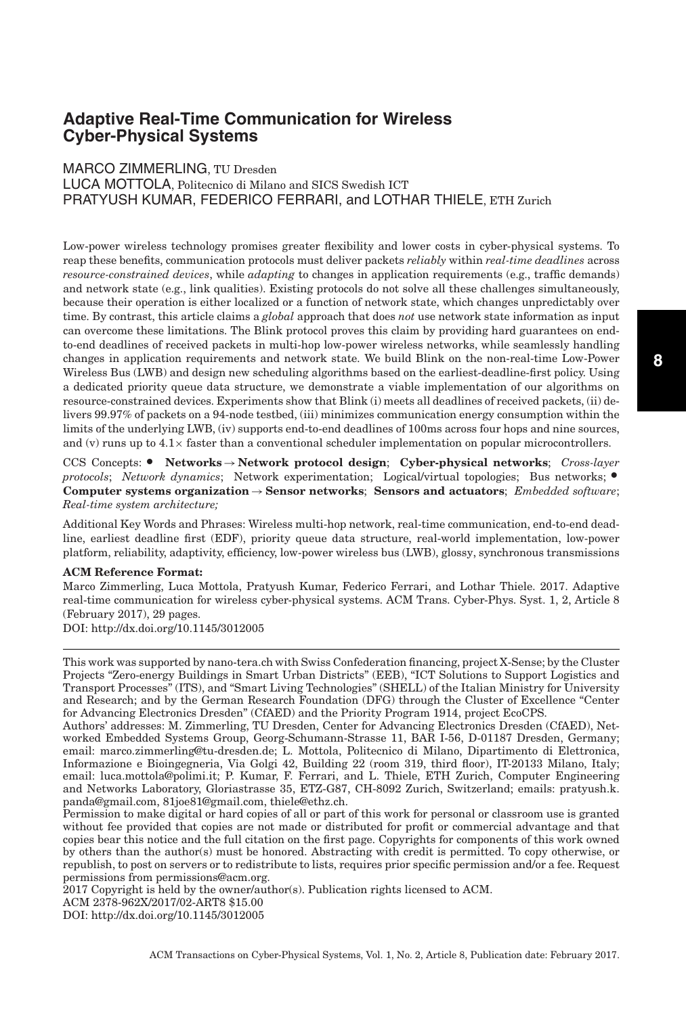# **Adaptive Real-Time Communication for Wireless Cyber-Physical Systems**

# MARCO ZIMMERLING, TU Dresden

LUCA MOTTOLA, Politecnico di Milano and SICS Swedish ICT PRATYUSH KUMAR, FEDERICO FERRARI, and LOTHAR THIELE, ETH Zurich

Low-power wireless technology promises greater flexibility and lower costs in cyber-physical systems. To reap these benefits, communication protocols must deliver packets *reliably* within *real-time deadlines* across *resource-constrained devices*, while *adapting* to changes in application requirements (e.g., traffic demands) and network state (e.g., link qualities). Existing protocols do not solve all these challenges simultaneously, because their operation is either localized or a function of network state, which changes unpredictably over time. By contrast, this article claims a *global* approach that does *not* use network state information as input can overcome these limitations. The Blink protocol proves this claim by providing hard guarantees on endto-end deadlines of received packets in multi-hop low-power wireless networks, while seamlessly handling changes in application requirements and network state. We build Blink on the non-real-time Low-Power Wireless Bus (LWB) and design new scheduling algorithms based on the earliest-deadline-first policy. Using a dedicated priority queue data structure, we demonstrate a viable implementation of our algorithms on resource-constrained devices. Experiments show that Blink (i) meets all deadlines of received packets, (ii) delivers 99.97% of packets on a 94-node testbed, (iii) minimizes communication energy consumption within the limits of the underlying LWB, (iv) supports end-to-end deadlines of 100ms across four hops and nine sources, and (v) runs up to  $4.1\times$  faster than a conventional scheduler implementation on popular microcontrollers.

CCS Concepts: - **Networks**→**Network protocol design**; **Cyber-physical networks**; *Cross-layer protocols*; *Network dynamics*; Network experimentation; Logical/virtual topologies; Bus networks; • **Computer systems organization**→**Sensor networks**; **Sensors and actuators**; *Embedded software*; *Real-time system architecture;*

Additional Key Words and Phrases: Wireless multi-hop network, real-time communication, end-to-end deadline, earliest deadline first (EDF), priority queue data structure, real-world implementation, low-power platform, reliability, adaptivity, efficiency, low-power wireless bus (LWB), glossy, synchronous transmissions

## **ACM Reference Format:**

Marco Zimmerling, Luca Mottola, Pratyush Kumar, Federico Ferrari, and Lothar Thiele. 2017. Adaptive real-time communication for wireless cyber-physical systems. ACM Trans. Cyber-Phys. Syst. 1, 2, Article 8 (February 2017), 29 pages.

DOI: http://dx.doi.org/10.1145/3012005

2017 Copyright is held by the owner/author(s). Publication rights licensed to ACM.

ACM 2378-962X/2017/02-ART8 \$15.00

DOI: http://dx.doi.org/10.1145/3012005

This work was supported by nano-tera.ch with Swiss Confederation financing, project X-Sense; by the Cluster Projects "Zero-energy Buildings in Smart Urban Districts" (EEB), "ICT Solutions to Support Logistics and Transport Processes" (ITS), and "Smart Living Technologies" (SHELL) of the Italian Ministry for University and Research; and by the German Research Foundation (DFG) through the Cluster of Excellence "Center for Advancing Electronics Dresden" (CfAED) and the Priority Program 1914, project EcoCPS.

Authors' addresses: M. Zimmerling, TU Dresden, Center for Advancing Electronics Dresden (CfAED), Networked Embedded Systems Group, Georg-Schumann-Strasse 11, BAR I-56, D-01187 Dresden, Germany; email: marco.zimmerling@tu-dresden.de; L. Mottola, Politecnico di Milano, Dipartimento di Elettronica, Informazione e Bioingegneria, Via Golgi 42, Building 22 (room 319, third floor), IT-20133 Milano, Italy; email: luca.mottola@polimi.it; P. Kumar, F. Ferrari, and L. Thiele, ETH Zurich, Computer Engineering and Networks Laboratory, Gloriastrasse 35, ETZ-G87, CH-8092 Zurich, Switzerland; emails: pratyush.k. panda@gmail.com, 81joe81@gmail.com, thiele@ethz.ch.

Permission to make digital or hard copies of all or part of this work for personal or classroom use is granted without fee provided that copies are not made or distributed for profit or commercial advantage and that copies bear this notice and the full citation on the first page. Copyrights for components of this work owned by others than the author(s) must be honored. Abstracting with credit is permitted. To copy otherwise, or republish, to post on servers or to redistribute to lists, requires prior specific permission and/or a fee. Request permissions from permissions@acm.org.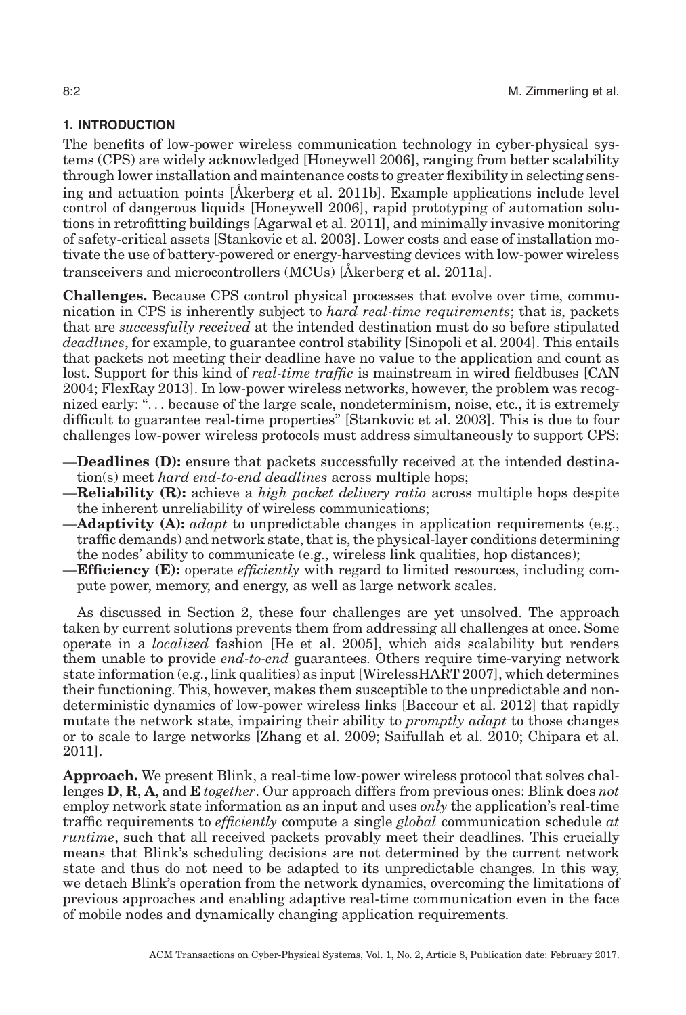# **1. INTRODUCTION**

The benefits of low-power wireless communication technology in cyber-physical systems (CPS) are widely acknowledged [Honeywell 2006], ranging from better scalability through lower installation and maintenance costs to greater flexibility in selecting sensing and actuation points [Åkerberg et al. 2011b]. Example applications include level control of dangerous liquids [Honeywell 2006], rapid prototyping of automation solutions in retrofitting buildings [Agarwal et al. 2011], and minimally invasive monitoring of safety-critical assets [Stankovic et al. 2003]. Lower costs and ease of installation motivate the use of battery-powered or energy-harvesting devices with low-power wireless transceivers and microcontrollers (MCUs) [Åkerberg et al. 2011a].

**Challenges.** Because CPS control physical processes that evolve over time, communication in CPS is inherently subject to *hard real-time requirements*; that is, packets that are *successfully received* at the intended destination must do so before stipulated *deadlines*, for example, to guarantee control stability [Sinopoli et al. 2004]. This entails that packets not meeting their deadline have no value to the application and count as lost. Support for this kind of *real-time traffic* is mainstream in wired fieldbuses [CAN 2004; FlexRay 2013]. In low-power wireless networks, however, the problem was recognized early: "... because of the large scale, nondeterminism, noise, etc., it is extremely difficult to guarantee real-time properties" [Stankovic et al. 2003]. This is due to four challenges low-power wireless protocols must address simultaneously to support CPS:

- —**Deadlines (D):** ensure that packets successfully received at the intended destination(s) meet *hard end-to-end deadlines* across multiple hops;
- —**Reliability (R):** achieve a *high packet delivery ratio* across multiple hops despite the inherent unreliability of wireless communications;
- —**Adaptivity (A):** *adapt* to unpredictable changes in application requirements (e.g., traffic demands) and network state, that is, the physical-layer conditions determining the nodes' ability to communicate (e.g., wireless link qualities, hop distances);
- —**Efficiency (E):** operate *efficiently* with regard to limited resources, including compute power, memory, and energy, as well as large network scales.

As discussed in Section 2, these four challenges are yet unsolved. The approach taken by current solutions prevents them from addressing all challenges at once. Some operate in a *localized* fashion [He et al. 2005], which aids scalability but renders them unable to provide *end-to-end* guarantees. Others require time-varying network state information (e.g., link qualities) as input [WirelessHART 2007], which determines their functioning. This, however, makes them susceptible to the unpredictable and nondeterministic dynamics of low-power wireless links [Baccour et al. 2012] that rapidly mutate the network state, impairing their ability to *promptly adapt* to those changes or to scale to large networks [Zhang et al. 2009; Saifullah et al. 2010; Chipara et al. 2011].

**Approach.** We present Blink, a real-time low-power wireless protocol that solves challenges **D**, **R**, **A**, and **E** *together*. Our approach differs from previous ones: Blink does *not* employ network state information as an input and uses *only* the application's real-time traffic requirements to *efficiently* compute a single *global* communication schedule *at runtime*, such that all received packets provably meet their deadlines. This crucially means that Blink's scheduling decisions are not determined by the current network state and thus do not need to be adapted to its unpredictable changes. In this way, we detach Blink's operation from the network dynamics, overcoming the limitations of previous approaches and enabling adaptive real-time communication even in the face of mobile nodes and dynamically changing application requirements.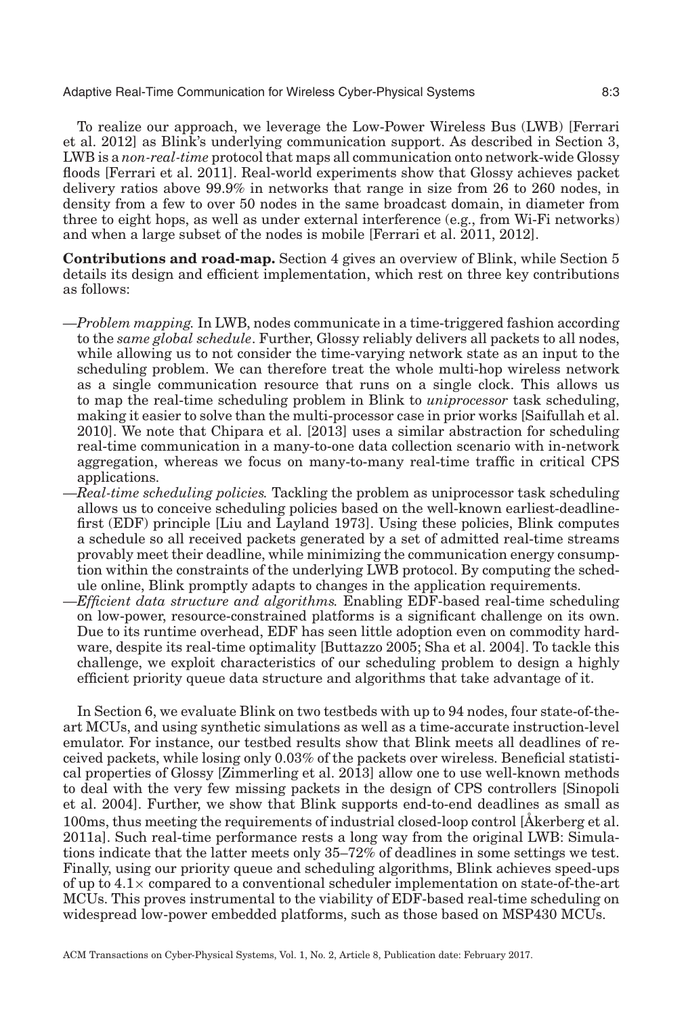## Adaptive Real-Time Communication for Wireless Cyber-Physical Systems 8:3

To realize our approach, we leverage the Low-Power Wireless Bus (LWB) [Ferrari et al. 2012] as Blink's underlying communication support. As described in Section 3, LWB is a *non-real-time* protocol that maps all communication onto network-wide Glossy floods [Ferrari et al. 2011]. Real-world experiments show that Glossy achieves packet delivery ratios above 99.9% in networks that range in size from 26 to 260 nodes, in density from a few to over 50 nodes in the same broadcast domain, in diameter from three to eight hops, as well as under external interference (e.g., from Wi-Fi networks) and when a large subset of the nodes is mobile [Ferrari et al. 2011, 2012].

**Contributions and road-map.** Section 4 gives an overview of Blink, while Section 5 details its design and efficient implementation, which rest on three key contributions as follows:

- —*Problem mapping.* In LWB, nodes communicate in a time-triggered fashion according to the *same global schedule*. Further, Glossy reliably delivers all packets to all nodes, while allowing us to not consider the time-varying network state as an input to the scheduling problem. We can therefore treat the whole multi-hop wireless network as a single communication resource that runs on a single clock. This allows us to map the real-time scheduling problem in Blink to *uniprocessor* task scheduling, making it easier to solve than the multi-processor case in prior works [Saifullah et al. 2010]. We note that Chipara et al. [2013] uses a similar abstraction for scheduling real-time communication in a many-to-one data collection scenario with in-network aggregation, whereas we focus on many-to-many real-time traffic in critical CPS applications.
- —*Real-time scheduling policies.* Tackling the problem as uniprocessor task scheduling allows us to conceive scheduling policies based on the well-known earliest-deadlinefirst (EDF) principle [Liu and Layland 1973]. Using these policies, Blink computes a schedule so all received packets generated by a set of admitted real-time streams provably meet their deadline, while minimizing the communication energy consumption within the constraints of the underlying LWB protocol. By computing the schedule online, Blink promptly adapts to changes in the application requirements.
- —*Efficient data structure and algorithms.* Enabling EDF-based real-time scheduling on low-power, resource-constrained platforms is a significant challenge on its own. Due to its runtime overhead, EDF has seen little adoption even on commodity hardware, despite its real-time optimality [Buttazzo 2005; Sha et al. 2004]. To tackle this challenge, we exploit characteristics of our scheduling problem to design a highly efficient priority queue data structure and algorithms that take advantage of it.

In Section 6, we evaluate Blink on two testbeds with up to 94 nodes, four state-of-theart MCUs, and using synthetic simulations as well as a time-accurate instruction-level emulator. For instance, our testbed results show that Blink meets all deadlines of received packets, while losing only 0.03% of the packets over wireless. Beneficial statistical properties of Glossy [Zimmerling et al. 2013] allow one to use well-known methods to deal with the very few missing packets in the design of CPS controllers [Sinopoli et al. 2004]. Further, we show that Blink supports end-to-end deadlines as small as 100ms, thus meeting the requirements of industrial closed-loop control [Åkerberg et al. 2011a]. Such real-time performance rests a long way from the original LWB: Simulations indicate that the latter meets only 35–72% of deadlines in some settings we test. Finally, using our priority queue and scheduling algorithms, Blink achieves speed-ups of up to  $4.1\times$  compared to a conventional scheduler implementation on state-of-the-art MCUs. This proves instrumental to the viability of EDF-based real-time scheduling on widespread low-power embedded platforms, such as those based on MSP430 MCUs.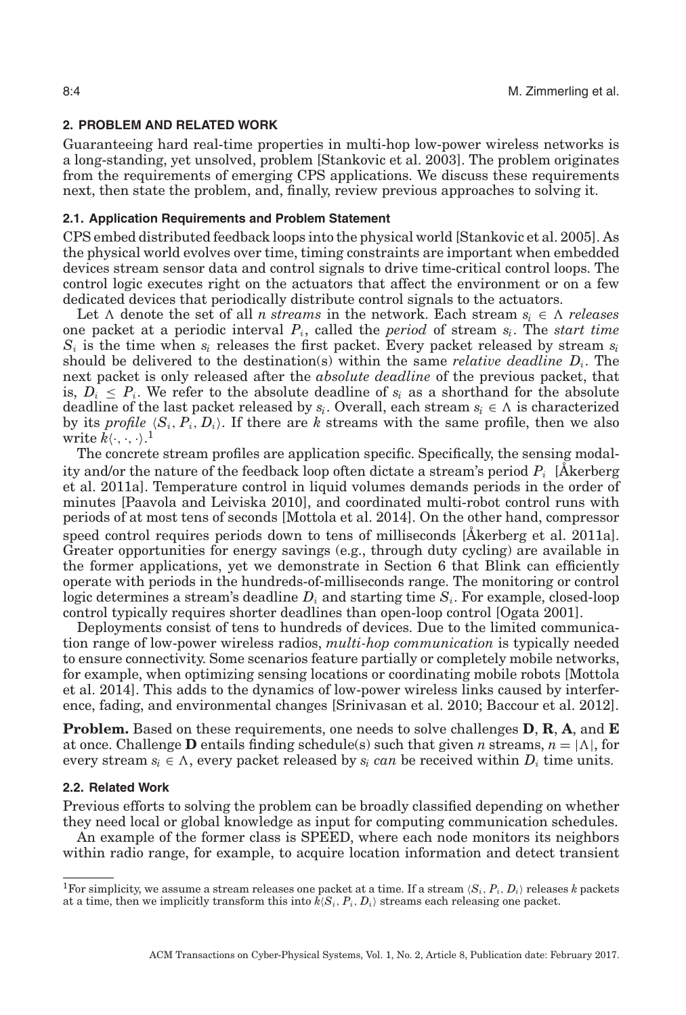# **2. PROBLEM AND RELATED WORK**

Guaranteeing hard real-time properties in multi-hop low-power wireless networks is a long-standing, yet unsolved, problem [Stankovic et al. 2003]. The problem originates from the requirements of emerging CPS applications. We discuss these requirements next, then state the problem, and, finally, review previous approaches to solving it.

# **2.1. Application Requirements and Problem Statement**

CPS embed distributed feedback loops into the physical world [Stankovic et al. 2005]. As the physical world evolves over time, timing constraints are important when embedded devices stream sensor data and control signals to drive time-critical control loops. The control logic executes right on the actuators that affect the environment or on a few dedicated devices that periodically distribute control signals to the actuators.

Let  $\Lambda$  denote the set of all *n* streams in the network. Each stream  $s_i \in \Lambda$  releases one packet at a periodic interval *P*<sup>i</sup> , called the *period* of stream *s<sup>i</sup>* . The *start time*  $S_i$  is the time when  $s_i$  releases the first packet. Every packet released by stream  $s_i$ should be delivered to the destination(s) within the same *relative deadline*  $D_i$ . The next packet is only released after the *absolute deadline* of the previous packet, that is,  $D_i \leq P_i$ . We refer to the absolute deadline of  $s_i$  as a shorthand for the absolute deadline of the last packet released by  $s_i$ . Overall, each stream  $s_i \in \Lambda$  is characterized by its *profile*  $\langle S_i, P_i, D_i \rangle$ . If there are *k* streams with the same profile, then we also write  $\tilde{k}\langle\cdot,\cdot,\cdot\rangle .^1$ 

The concrete stream profiles are application specific. Specifically, the sensing modality and/or the nature of the feedback loop often dictate a stream's period *P*<sup>i</sup> [Åkerberg et al. 2011a]. Temperature control in liquid volumes demands periods in the order of minutes [Paavola and Leiviska 2010], and coordinated multi-robot control runs with periods of at most tens of seconds [Mottola et al. 2014]. On the other hand, compressor speed control requires periods down to tens of milliseconds [Åkerberg et al. 2011a]. Greater opportunities for energy savings (e.g., through duty cycling) are available in the former applications, yet we demonstrate in Section 6 that Blink can efficiently operate with periods in the hundreds-of-milliseconds range. The monitoring or control logic determines a stream's deadline  $D_i$  and starting time  $S_i.$  For example, closed-loop control typically requires shorter deadlines than open-loop control [Ogata 2001].

Deployments consist of tens to hundreds of devices. Due to the limited communication range of low-power wireless radios, *multi-hop communication* is typically needed to ensure connectivity. Some scenarios feature partially or completely mobile networks, for example, when optimizing sensing locations or coordinating mobile robots [Mottola et al. 2014]. This adds to the dynamics of low-power wireless links caused by interference, fading, and environmental changes [Srinivasan et al. 2010; Baccour et al. 2012].

**Problem.** Based on these requirements, one needs to solve challenges **D**, **R**, **A**, and **E** at once. Challenge **D** entails finding schedule(s) such that given *n* streams,  $n = |\Lambda|$ , for every stream  $s_i \in \Lambda$ , every packet released by  $s_i$  *can* be received within  $D_i$  time units.

#### **2.2. Related Work**

Previous efforts to solving the problem can be broadly classified depending on whether they need local or global knowledge as input for computing communication schedules.

An example of the former class is SPEED, where each node monitors its neighbors within radio range, for example, to acquire location information and detect transient

<sup>&</sup>lt;sup>1</sup>For simplicity, we assume a stream releases one packet at a time. If a stream  $\langle S_i, P_i, D_i \rangle$  releases *k* packets at a time, then we implicitly transform this into  $k(S_i, P_i, D_i)$  streams each releasing one packet.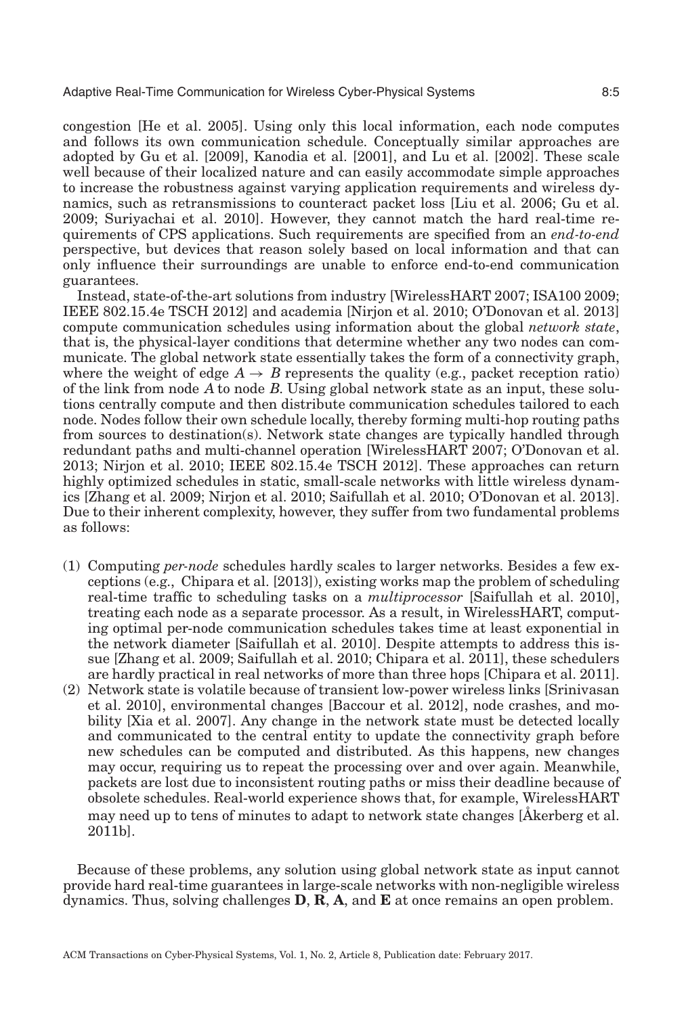Adaptive Real-Time Communication for Wireless Cyber-Physical Systems 8:5

congestion [He et al. 2005]. Using only this local information, each node computes and follows its own communication schedule. Conceptually similar approaches are adopted by Gu et al. [2009], Kanodia et al. [2001], and Lu et al. [2002]. These scale well because of their localized nature and can easily accommodate simple approaches to increase the robustness against varying application requirements and wireless dynamics, such as retransmissions to counteract packet loss [Liu et al. 2006; Gu et al. 2009; Suriyachai et al. 2010]. However, they cannot match the hard real-time requirements of CPS applications. Such requirements are specified from an *end-to-end* perspective, but devices that reason solely based on local information and that can only influence their surroundings are unable to enforce end-to-end communication guarantees.

Instead, state-of-the-art solutions from industry [WirelessHART 2007; ISA100 2009; IEEE 802.15.4e TSCH 2012] and academia [Nirjon et al. 2010; O'Donovan et al. 2013] compute communication schedules using information about the global *network state*, that is, the physical-layer conditions that determine whether any two nodes can communicate. The global network state essentially takes the form of a connectivity graph, where the weight of edge  $A \rightarrow B$  represents the quality (e.g., packet reception ratio) of the link from node *A* to node *B*. Using global network state as an input, these solutions centrally compute and then distribute communication schedules tailored to each node. Nodes follow their own schedule locally, thereby forming multi-hop routing paths from sources to destination(s). Network state changes are typically handled through redundant paths and multi-channel operation [WirelessHART 2007; O'Donovan et al. 2013; Nirjon et al. 2010; IEEE 802.15.4e TSCH 2012]. These approaches can return highly optimized schedules in static, small-scale networks with little wireless dynamics [Zhang et al. 2009; Nirjon et al. 2010; Saifullah et al. 2010; O'Donovan et al. 2013]. Due to their inherent complexity, however, they suffer from two fundamental problems as follows:

- (1) Computing *per-node* schedules hardly scales to larger networks. Besides a few exceptions (e.g., Chipara et al. [2013]), existing works map the problem of scheduling real-time traffic to scheduling tasks on a *multiprocessor* [Saifullah et al. 2010], treating each node as a separate processor. As a result, in WirelessHART, computing optimal per-node communication schedules takes time at least exponential in the network diameter [Saifullah et al. 2010]. Despite attempts to address this issue [Zhang et al. 2009; Saifullah et al. 2010; Chipara et al. 2011], these schedulers are hardly practical in real networks of more than three hops [Chipara et al. 2011].
- (2) Network state is volatile because of transient low-power wireless links [Srinivasan et al. 2010], environmental changes [Baccour et al. 2012], node crashes, and mobility [Xia et al. 2007]. Any change in the network state must be detected locally and communicated to the central entity to update the connectivity graph before new schedules can be computed and distributed. As this happens, new changes may occur, requiring us to repeat the processing over and over again. Meanwhile, packets are lost due to inconsistent routing paths or miss their deadline because of obsolete schedules. Real-world experience shows that, for example, WirelessHART may need up to tens of minutes to adapt to network state changes [Åkerberg et al. 2011b].

Because of these problems, any solution using global network state as input cannot provide hard real-time guarantees in large-scale networks with non-negligible wireless dynamics. Thus, solving challenges **D**, **R**, **A**, and **E** at once remains an open problem.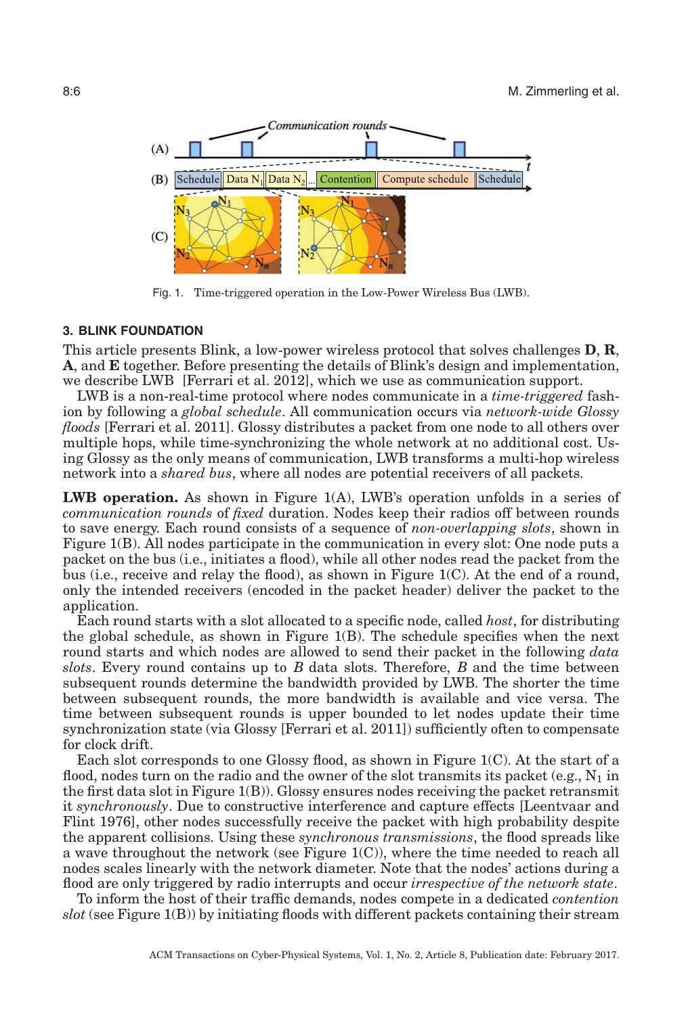

Fig. 1. Time-triggered operation in the Low-Power Wireless Bus (LWB).

## **3. BLINK FOUNDATION**

This article presents Blink, a low-power wireless protocol that solves challenges **D**, **R**, **A**, and **E** together. Before presenting the details of Blink's design and implementation, we describe LWB [Ferrari et al. 2012], which we use as communication support.

LWB is a non-real-time protocol where nodes communicate in a *time-triggered* fashion by following a *global schedule*. All communication occurs via *network-wide Glossy floods* [Ferrari et al. 2011]. Glossy distributes a packet from one node to all others over multiple hops, while time-synchronizing the whole network at no additional cost. Using Glossy as the only means of communication, LWB transforms a multi-hop wireless network into a *shared bus*, where all nodes are potential receivers of all packets.

**LWB operation.** As shown in Figure 1(A), LWB's operation unfolds in a series of *communication rounds* of *fixed* duration. Nodes keep their radios off between rounds to save energy. Each round consists of a sequence of *non-overlapping slots*, shown in Figure 1(B). All nodes participate in the communication in every slot: One node puts a packet on the bus (i.e., initiates a flood), while all other nodes read the packet from the bus (i.e., receive and relay the flood), as shown in Figure 1(C). At the end of a round, only the intended receivers (encoded in the packet header) deliver the packet to the application.

Each round starts with a slot allocated to a specific node, called *host*, for distributing the global schedule, as shown in Figure 1(B). The schedule specifies when the next round starts and which nodes are allowed to send their packet in the following *data slots*. Every round contains up to *B* data slots. Therefore, *B* and the time between subsequent rounds determine the bandwidth provided by LWB. The shorter the time between subsequent rounds, the more bandwidth is available and vice versa. The time between subsequent rounds is upper bounded to let nodes update their time synchronization state (via Glossy [Ferrari et al. 2011]) sufficiently often to compensate for clock drift.

Each slot corresponds to one Glossy flood, as shown in Figure 1(C). At the start of a flood, nodes turn on the radio and the owner of the slot transmits its packet (e.g.,  $N_1$  in the first data slot in Figure  $1(B)$ ). Glossy ensures nodes receiving the packet retransmit it *synchronously*. Due to constructive interference and capture effects [Leentvaar and Flint 1976], other nodes successfully receive the packet with high probability despite the apparent collisions. Using these *synchronous transmissions*, the flood spreads like a wave throughout the network (see Figure 1(C)), where the time needed to reach all nodes scales linearly with the network diameter. Note that the nodes' actions during a flood are only triggered by radio interrupts and occur *irrespective of the network state*.

To inform the host of their traffic demands, nodes compete in a dedicated *contention slot* (see Figure 1(B)) by initiating floods with different packets containing their stream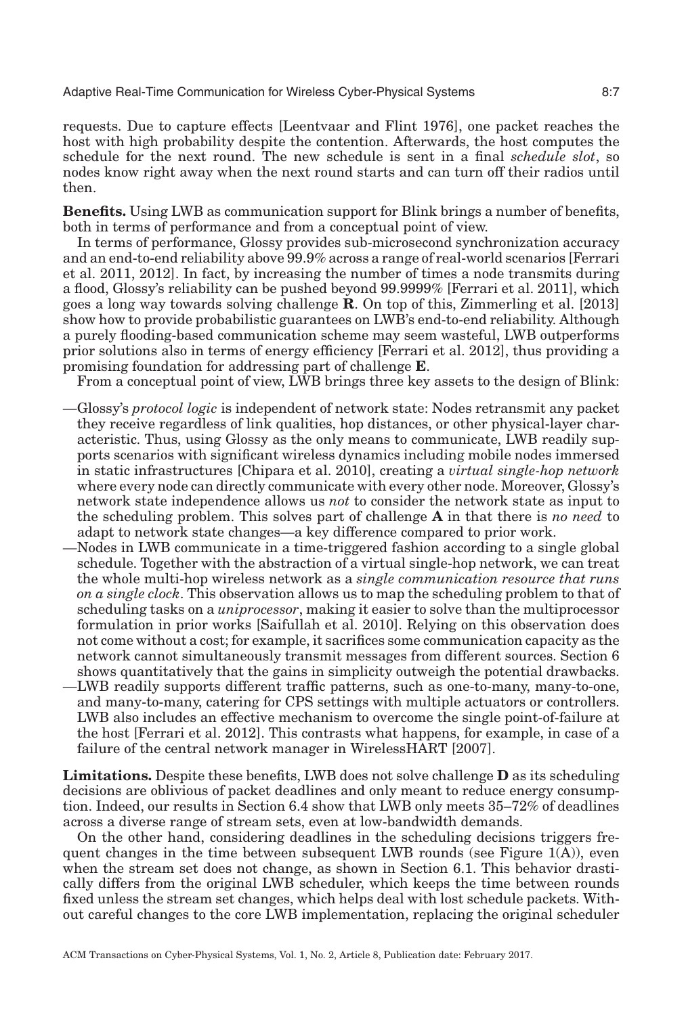requests. Due to capture effects [Leentvaar and Flint 1976], one packet reaches the host with high probability despite the contention. Afterwards, the host computes the schedule for the next round. The new schedule is sent in a final *schedule slot*, so nodes know right away when the next round starts and can turn off their radios until then.

**Benefits.** Using LWB as communication support for Blink brings a number of benefits, both in terms of performance and from a conceptual point of view.

In terms of performance, Glossy provides sub-microsecond synchronization accuracy and an end-to-end reliability above 99.9% across a range of real-world scenarios [Ferrari et al. 2011, 2012]. In fact, by increasing the number of times a node transmits during a flood, Glossy's reliability can be pushed beyond 99.9999% [Ferrari et al. 2011], which goes a long way towards solving challenge **R**. On top of this, Zimmerling et al. [2013] show how to provide probabilistic guarantees on LWB's end-to-end reliability. Although a purely flooding-based communication scheme may seem wasteful, LWB outperforms prior solutions also in terms of energy efficiency [Ferrari et al. 2012], thus providing a promising foundation for addressing part of challenge **E**.

From a conceptual point of view, LWB brings three key assets to the design of Blink:

- —Glossy's *protocol logic* is independent of network state: Nodes retransmit any packet they receive regardless of link qualities, hop distances, or other physical-layer characteristic. Thus, using Glossy as the only means to communicate, LWB readily supports scenarios with significant wireless dynamics including mobile nodes immersed in static infrastructures [Chipara et al. 2010], creating a *virtual single-hop network* where every node can directly communicate with every other node. Moreover, Glossy's network state independence allows us *not* to consider the network state as input to the scheduling problem. This solves part of challenge **A** in that there is *no need* to adapt to network state changes—a key difference compared to prior work.
- —Nodes in LWB communicate in a time-triggered fashion according to a single global schedule. Together with the abstraction of a virtual single-hop network, we can treat the whole multi-hop wireless network as a *single communication resource that runs on a single clock*. This observation allows us to map the scheduling problem to that of scheduling tasks on a *uniprocessor*, making it easier to solve than the multiprocessor formulation in prior works [Saifullah et al. 2010]. Relying on this observation does not come without a cost; for example, it sacrifices some communication capacity as the network cannot simultaneously transmit messages from different sources. Section 6 shows quantitatively that the gains in simplicity outweigh the potential drawbacks.
- —LWB readily supports different traffic patterns, such as one-to-many, many-to-one, and many-to-many, catering for CPS settings with multiple actuators or controllers. LWB also includes an effective mechanism to overcome the single point-of-failure at the host [Ferrari et al. 2012]. This contrasts what happens, for example, in case of a failure of the central network manager in WirelessHART [2007].

**Limitations.** Despite these benefits, LWB does not solve challenge **D** as its scheduling decisions are oblivious of packet deadlines and only meant to reduce energy consumption. Indeed, our results in Section 6.4 show that LWB only meets 35–72% of deadlines across a diverse range of stream sets, even at low-bandwidth demands.

On the other hand, considering deadlines in the scheduling decisions triggers frequent changes in the time between subsequent LWB rounds (see Figure 1(A)), even when the stream set does not change, as shown in Section 6.1. This behavior drastically differs from the original LWB scheduler, which keeps the time between rounds fixed unless the stream set changes, which helps deal with lost schedule packets. Without careful changes to the core LWB implementation, replacing the original scheduler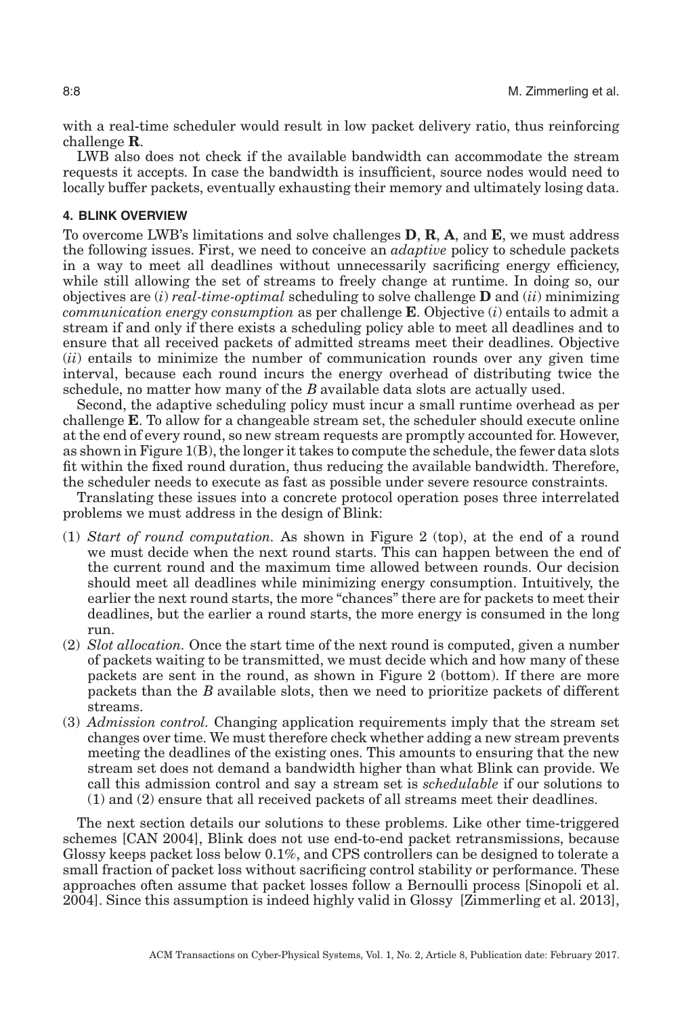with a real-time scheduler would result in low packet delivery ratio, thus reinforcing challenge **R**.

LWB also does not check if the available bandwidth can accommodate the stream requests it accepts. In case the bandwidth is insufficient, source nodes would need to locally buffer packets, eventually exhausting their memory and ultimately losing data.

# **4. BLINK OVERVIEW**

To overcome LWB's limitations and solve challenges **D**, **R**, **A**, and **E**, we must address the following issues. First, we need to conceive an *adaptive* policy to schedule packets in a way to meet all deadlines without unnecessarily sacrificing energy efficiency, while still allowing the set of streams to freely change at runtime. In doing so, our objectives are (*i*) *real-time-optimal* scheduling to solve challenge **D** and (*ii*) minimizing *communication energy consumption* as per challenge **E**. Objective (*i*) entails to admit a stream if and only if there exists a scheduling policy able to meet all deadlines and to ensure that all received packets of admitted streams meet their deadlines. Objective (*ii*) entails to minimize the number of communication rounds over any given time interval, because each round incurs the energy overhead of distributing twice the schedule, no matter how many of the *B* available data slots are actually used.

Second, the adaptive scheduling policy must incur a small runtime overhead as per challenge **E**. To allow for a changeable stream set, the scheduler should execute online at the end of every round, so new stream requests are promptly accounted for. However, as shown in Figure 1(B), the longer it takes to compute the schedule, the fewer data slots fit within the fixed round duration, thus reducing the available bandwidth. Therefore, the scheduler needs to execute as fast as possible under severe resource constraints.

Translating these issues into a concrete protocol operation poses three interrelated problems we must address in the design of Blink:

- (1) *Start of round computation.* As shown in Figure 2 (top), at the end of a round we must decide when the next round starts. This can happen between the end of the current round and the maximum time allowed between rounds. Our decision should meet all deadlines while minimizing energy consumption. Intuitively, the earlier the next round starts, the more "chances" there are for packets to meet their deadlines, but the earlier a round starts, the more energy is consumed in the long run.
- (2) *Slot allocation.* Once the start time of the next round is computed, given a number of packets waiting to be transmitted, we must decide which and how many of these packets are sent in the round, as shown in Figure 2 (bottom). If there are more packets than the *B* available slots, then we need to prioritize packets of different streams.
- (3) *Admission control.* Changing application requirements imply that the stream set changes over time. We must therefore check whether adding a new stream prevents meeting the deadlines of the existing ones. This amounts to ensuring that the new stream set does not demand a bandwidth higher than what Blink can provide. We call this admission control and say a stream set is *schedulable* if our solutions to (1) and (2) ensure that all received packets of all streams meet their deadlines.

The next section details our solutions to these problems. Like other time-triggered schemes [CAN 2004], Blink does not use end-to-end packet retransmissions, because Glossy keeps packet loss below 0.1%, and CPS controllers can be designed to tolerate a small fraction of packet loss without sacrificing control stability or performance. These approaches often assume that packet losses follow a Bernoulli process [Sinopoli et al. 2004]. Since this assumption is indeed highly valid in Glossy [Zimmerling et al. 2013],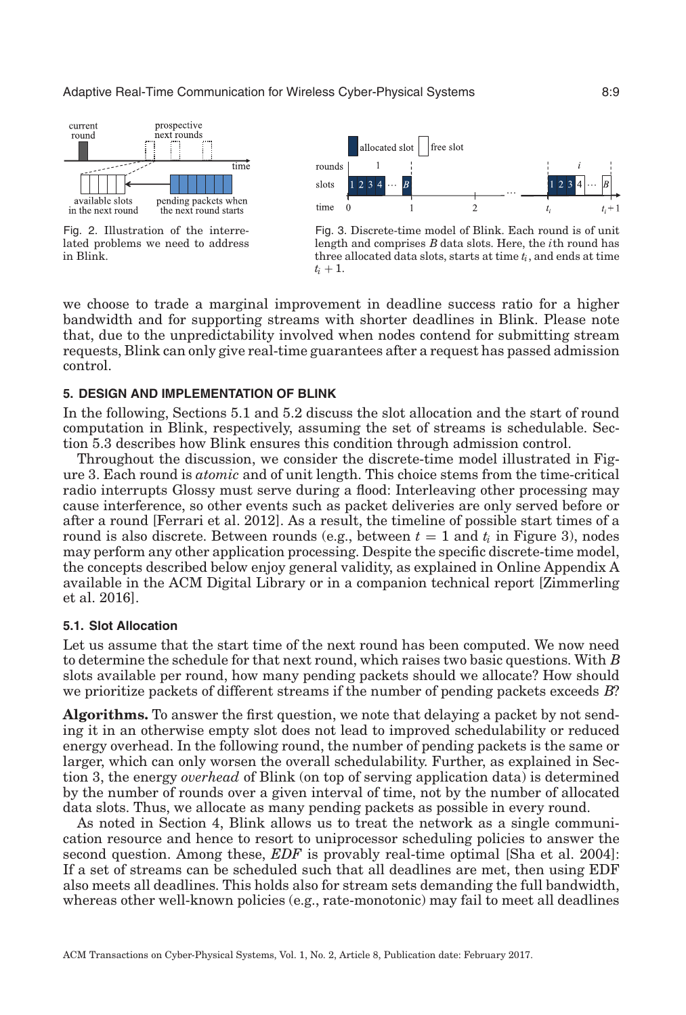# Adaptive Real-Time Communication for Wireless Cyber-Physical Systems 8:9



Fig. 2. Illustration of the interrelated problems we need to address in Blink.



Fig. 3. Discrete-time model of Blink. Each round is of unit length and comprises *B* data slots. Here, the *i*th round has three allocated data slots, starts at time *t<sup>i</sup>* , and ends at time  $t_i + 1$ .

we choose to trade a marginal improvement in deadline success ratio for a higher bandwidth and for supporting streams with shorter deadlines in Blink. Please note that, due to the unpredictability involved when nodes contend for submitting stream requests, Blink can only give real-time guarantees after a request has passed admission control.

# **5. DESIGN AND IMPLEMENTATION OF BLINK**

In the following, Sections 5.1 and 5.2 discuss the slot allocation and the start of round computation in Blink, respectively, assuming the set of streams is schedulable. Section 5.3 describes how Blink ensures this condition through admission control.

Throughout the discussion, we consider the discrete-time model illustrated in Figure 3. Each round is *atomic* and of unit length. This choice stems from the time-critical radio interrupts Glossy must serve during a flood: Interleaving other processing may cause interference, so other events such as packet deliveries are only served before or after a round [Ferrari et al. 2012]. As a result, the timeline of possible start times of a round is also discrete. Between rounds (e.g., between  $t = 1$  and  $t_i$  in Figure 3), nodes may perform any other application processing. Despite the specific discrete-time model, the concepts described below enjoy general validity, as explained in Online Appendix A available in the ACM Digital Library or in a companion technical report [Zimmerling et al. 2016].

## **5.1. Slot Allocation**

Let us assume that the start time of the next round has been computed. We now need to determine the schedule for that next round, which raises two basic questions. With *B* slots available per round, how many pending packets should we allocate? How should we prioritize packets of different streams if the number of pending packets exceeds *B*?

**Algorithms.** To answer the first question, we note that delaying a packet by not sending it in an otherwise empty slot does not lead to improved schedulability or reduced energy overhead. In the following round, the number of pending packets is the same or larger, which can only worsen the overall schedulability. Further, as explained in Section 3, the energy *overhead* of Blink (on top of serving application data) is determined by the number of rounds over a given interval of time, not by the number of allocated data slots. Thus, we allocate as many pending packets as possible in every round.

As noted in Section 4, Blink allows us to treat the network as a single communication resource and hence to resort to uniprocessor scheduling policies to answer the second question. Among these, *EDF* is provably real-time optimal [Sha et al. 2004]: If a set of streams can be scheduled such that all deadlines are met, then using EDF also meets all deadlines. This holds also for stream sets demanding the full bandwidth, whereas other well-known policies (e.g., rate-monotonic) may fail to meet all deadlines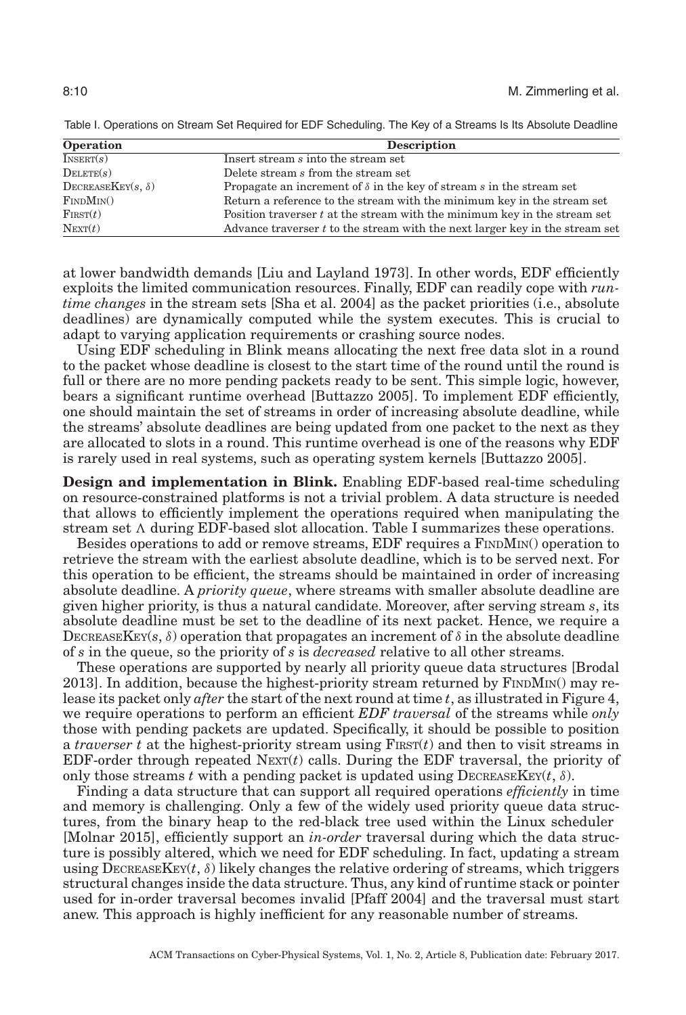| Operation                 | <b>Description</b>                                                             |
|---------------------------|--------------------------------------------------------------------------------|
| INSENT(s)                 | Insert stream s into the stream set                                            |
| $D \text{ELETE}(s)$       | Delete stream s from the stream set                                            |
| DECREASEKEY(s, $\delta$ ) | Propagate an increment of $\delta$ in the key of stream s in the stream set    |
| FINDMIN()                 | Return a reference to the stream with the minimum key in the stream set        |
| $\text{FIRST}(t)$         | Position traverser $t$ at the stream with the minimum key in the stream set    |
| Next(t)                   | Advance traverser $t$ to the stream with the next larger key in the stream set |

Table I. Operations on Stream Set Required for EDF Scheduling. The Key of a Streams Is Its Absolute Deadline

at lower bandwidth demands [Liu and Layland 1973]. In other words, EDF efficiently exploits the limited communication resources. Finally, EDF can readily cope with *runtime changes* in the stream sets [Sha et al. 2004] as the packet priorities (i.e., absolute deadlines) are dynamically computed while the system executes. This is crucial to adapt to varying application requirements or crashing source nodes.

Using EDF scheduling in Blink means allocating the next free data slot in a round to the packet whose deadline is closest to the start time of the round until the round is full or there are no more pending packets ready to be sent. This simple logic, however, bears a significant runtime overhead [Buttazzo 2005]. To implement EDF efficiently, one should maintain the set of streams in order of increasing absolute deadline, while the streams' absolute deadlines are being updated from one packet to the next as they are allocated to slots in a round. This runtime overhead is one of the reasons why EDF is rarely used in real systems, such as operating system kernels [Buttazzo 2005].

**Design and implementation in Blink.** Enabling EDF-based real-time scheduling on resource-constrained platforms is not a trivial problem. A data structure is needed that allows to efficiently implement the operations required when manipulating the stream set  $\Lambda$  during EDF-based slot allocation. Table I summarizes these operations.

Besides operations to add or remove streams, EDF requires a FINDMIN() operation to retrieve the stream with the earliest absolute deadline, which is to be served next. For this operation to be efficient, the streams should be maintained in order of increasing absolute deadline. A *priority queue*, where streams with smaller absolute deadline are given higher priority, is thus a natural candidate. Moreover, after serving stream *s*, its absolute deadline must be set to the deadline of its next packet. Hence, we require a DECREASEKEY(s,  $\delta$ ) operation that propagates an increment of  $\delta$  in the absolute deadline of *s* in the queue, so the priority of *s* is *decreased* relative to all other streams.

These operations are supported by nearly all priority queue data structures [Brodal 2013]. In addition, because the highest-priority stream returned by FINDMIN() may release its packet only *after* the start of the next round at time *t*, as illustrated in Figure 4, we require operations to perform an efficient *EDF traversal* of the streams while *only* those with pending packets are updated. Specifically, it should be possible to position a *traverser t* at the highest-priority stream using FIRST(*t*) and then to visit streams in EDF-order through repeated  $Next(t)$  calls. During the EDF traversal, the priority of only those streams *t* with a pending packet is updated using  $D$ ECREASEKEY(*t*,  $\delta$ ).

Finding a data structure that can support all required operations *efficiently* in time and memory is challenging. Only a few of the widely used priority queue data structures, from the binary heap to the red-black tree used within the Linux scheduler [Molnar 2015], efficiently support an *in-order* traversal during which the data structure is possibly altered, which we need for EDF scheduling. In fact, updating a stream using  $\text{DECREASEK}$ EY $(t, \delta)$  likely changes the relative ordering of streams, which triggers structural changes inside the data structure. Thus, any kind of runtime stack or pointer used for in-order traversal becomes invalid [Pfaff 2004] and the traversal must start anew. This approach is highly inefficient for any reasonable number of streams.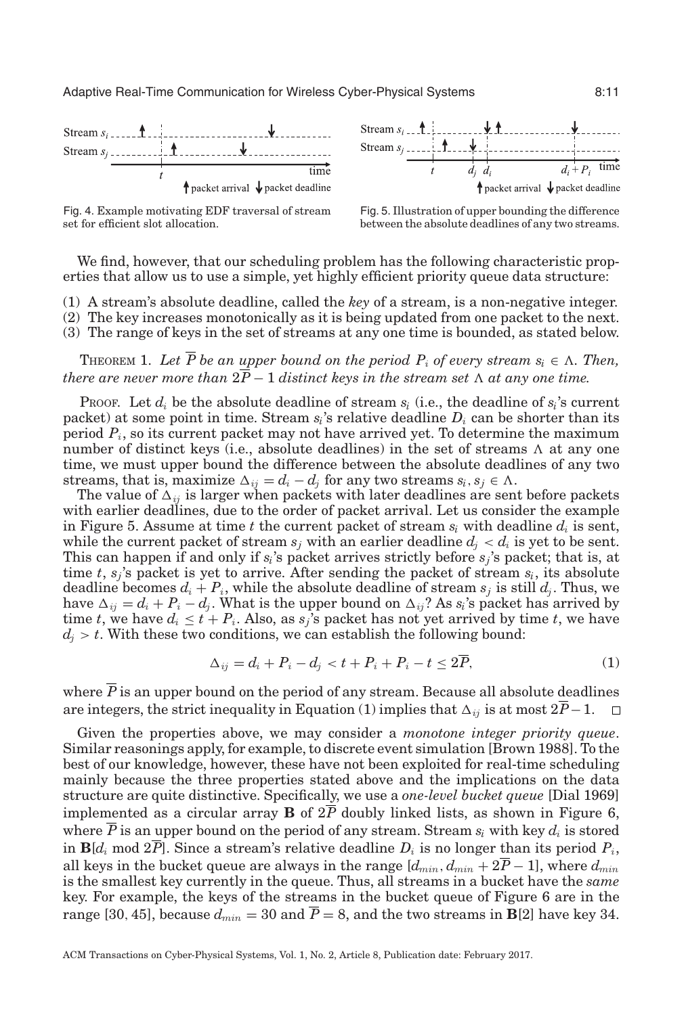



Fig. 5. Illustration of upper bounding the difference between the absolute deadlines of any two streams.

Fig. 4. Example motivating EDF traversal of stream set for efficient slot allocation.

We find, however, that our scheduling problem has the following characteristic properties that allow us to use a simple, yet highly efficient priority queue data structure:

(1) A stream's absolute deadline, called the *key* of a stream, is a non-negative integer.

(2) The key increases monotonically as it is being updated from one packet to the next.

(3) The range of keys in the set of streams at any one time is bounded, as stated below.

THEOREM 1. Let P be an upper bound on the period  $P_i$  of every stream  $s_i \in \Lambda$ . Then,  $t$ here are never more than  $2P-1$   $distance$   $keys$  in the stream set  $\Lambda$  at any one time.

Proof. Let  $d_i$  be the absolute deadline of stream  $s_i$  (i.e., the deadline of  $s_i$ 's current packet) at some point in time. Stream  $s_i$ 's relative deadline  $D_i$  can be shorter than its period *P*<sup>i</sup> , so its current packet may not have arrived yet. To determine the maximum number of distinct keys (i.e., absolute deadlines) in the set of streams  $\Lambda$  at any one time, we must upper bound the difference between the absolute deadlines of any two streams, that is, maximize  $\Delta_{ij} = d_i - d_j$  for any two streams  $s_i, s_j \in \Lambda$ .

The value of  $\Delta_{ij}$  is larger when packets with later deadlines are sent before packets with earlier deadlines, due to the order of packet arrival. Let us consider the example in Figure 5. Assume at time *t* the current packet of stream  $s_i$  with deadline  $d_i$  is sent, while the current packet of stream  $s_j$  with an earlier deadline  $d_j < d_i$  is yet to be sent. This can happen if and only if  $s_i$ 's packet arrives strictly before  $s_j$ 's packet; that is, at time  $t$ ,  $s_j$ 's packet is yet to arrive. After sending the packet of stream  $s_i$ , its absolute deadline becomes  $d_i + P_i$ , while the absolute deadline of stream  $s_j$  is still  $d_j$ . Thus, we have  $\Delta_{ij} = d_i + P_i - d_j.$  What is the upper bound on  $\Delta_{ij}$ ? As  $s_i$ 's packet has arrived by time *t*, we have  $d_i \leq t + P_i$ . Also, as  $s_j$ 's packet has not yet arrived by time *t*, we have  $d_i > t$ . With these two conditions, we can establish the following bound:

$$
\Delta_{ij}=d_i+P_i-d_j < t+P_i+P_i-t \le 2P,\tag{1}
$$

where  $\overline{P}$  is an upper bound on the period of any stream. Because all absolute deadlines are integers, the strict inequality in Equation (1) implies that  $\Delta_{ij}$  is at most  $2\bar{P}-1$ .  $\Box$ 

Given the properties above, we may consider a *monotone integer priority queue*. Similar reasonings apply, for example, to discrete event simulation [Brown 1988]. To the best of our knowledge, however, these have not been exploited for real-time scheduling mainly because the three properties stated above and the implications on the data structure are quite distinctive. Specifically, we use a *one-level bucket queue* [Dial 1969] implemented as a circular array **B** of  $2\overline{P}$  doubly linked lists, as shown in Figure 6, where  $\overline{P}$  is an upper bound on the period of any stream. Stream  $s_i$  with key  $d_i$  is stored in  $\mathbf{B}[d_i \bmod 2P]$ . Since a stream's relative deadline  $D_i$  is no longer than its period  $P_i,$ all keys in the bucket queue are always in the range  $[d_{min}, d_{min} + 2\overline{P} - 1]$ , where  $d_{min}$ is the smallest key currently in the queue. Thus, all streams in a bucket have the *same* key. For example, the keys of the streams in the bucket queue of Figure 6 are in the range [30, 45], because  $d_{min} = 30$  and  $\overline{P} = 8$ , and the two streams in **B**[2] have key 34.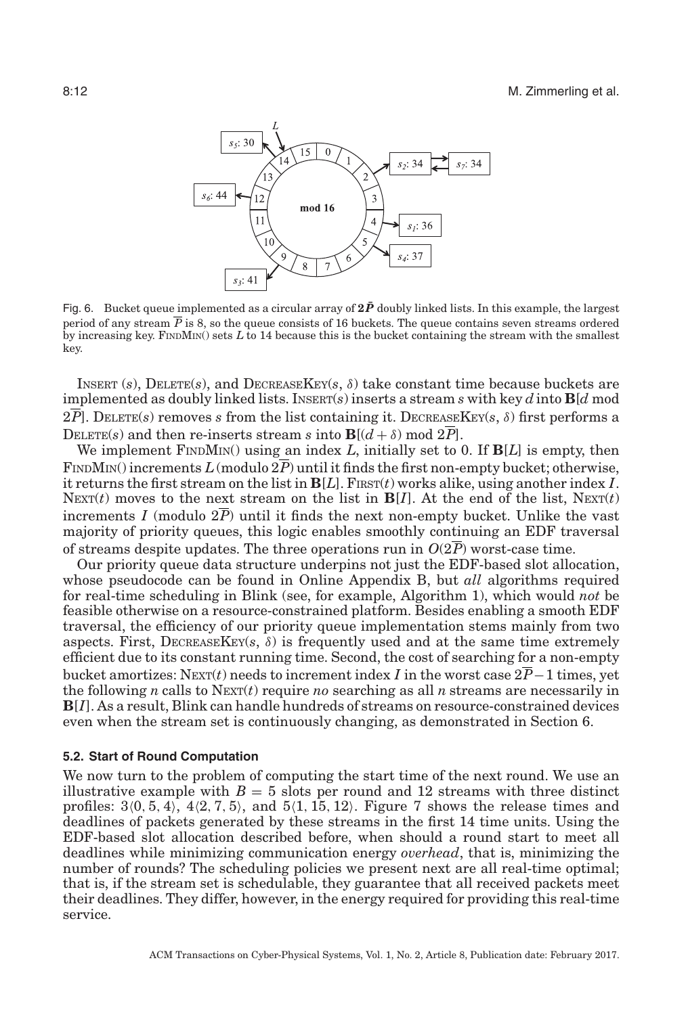# 8:12 M. Zimmerling et al.



Fig. 6. Bucket queue implemented as a circular array of  $2\bar{P}$  doubly linked lists. In this example, the largest period of any stream  $\overline{P}$  is 8, so the queue consists of 16 buckets. The queue contains seven streams ordered by increasing key. FINDMIN() sets *L* to 14 because this is the bucket containing the stream with the smallest key.

INSERT (*s*), DELETE(*s*), and DECREASEKEY(*s*,  $\delta$ ) take constant time because buckets are implemented as doubly linked lists. INSERT(*s*) inserts a stream *s* with key *d*into **B**[*d* mod 2*P*]. DELETE(*s*) removes *s* from the list containing it. DECREASEKEY(*s*, δ) first performs a DELETE(*s*) and then re-inserts stream *s* into  $\mathbf{B}[(d+\delta) \text{ mod } 2P]$ .

We implement FINDMIN() using an index *L*, initially set to 0. If **B**[*L*] is empty, then FINDMIN() increments  $L(\text{modulo }2\overline{P})$  until it finds the first non-empty bucket; otherwise, it returns the first stream on the list in  $B[L]$ . FIRST(*t*) works alike, using another index *I*. NEXT(*t*) moves to the next stream on the list in  $\mathbf{B}[I]$ . At the end of the list, NEXT(*t*) increments *I* (modulo 2*P*) until it finds the next non-empty bucket. Unlike the vast majority of priority queues, this logic enables smoothly continuing an EDF traversal of streams despite updates. The three operations run in  $O(2P)$  worst-case time.

Our priority queue data structure underpins not just the EDF-based slot allocation, whose pseudocode can be found in Online Appendix B, but *all* algorithms required for real-time scheduling in Blink (see, for example, Algorithm 1), which would *not* be feasible otherwise on a resource-constrained platform. Besides enabling a smooth EDF traversal, the efficiency of our priority queue implementation stems mainly from two aspects. First, DECREASEKEY( $s$ ,  $\delta$ ) is frequently used and at the same time extremely efficient due to its constant running time. Second, the cost of searching for a non-empty bucket amortizes: NEXT(*t*) needs to increment index *I* in the worst case  $2\overline{P}-1$  times, yet the following *n* calls to NEXT(*t*) require *no* searching as all *n* streams are necessarily in **B**[*I*]. As a result, Blink can handle hundreds of streams on resource-constrained devices even when the stream set is continuously changing, as demonstrated in Section 6.

#### **5.2. Start of Round Computation**

We now turn to the problem of computing the start time of the next round. We use an illustrative example with  $B = 5$  slots per round and 12 streams with three distinct profiles:  $3(0, 5, 4)$ ,  $4(2, 7, 5)$ , and  $5(1, 15, 12)$ . Figure 7 shows the release times and deadlines of packets generated by these streams in the first 14 time units. Using the EDF-based slot allocation described before, when should a round start to meet all deadlines while minimizing communication energy *overhead*, that is, minimizing the number of rounds? The scheduling policies we present next are all real-time optimal; that is, if the stream set is schedulable, they guarantee that all received packets meet their deadlines. They differ, however, in the energy required for providing this real-time service.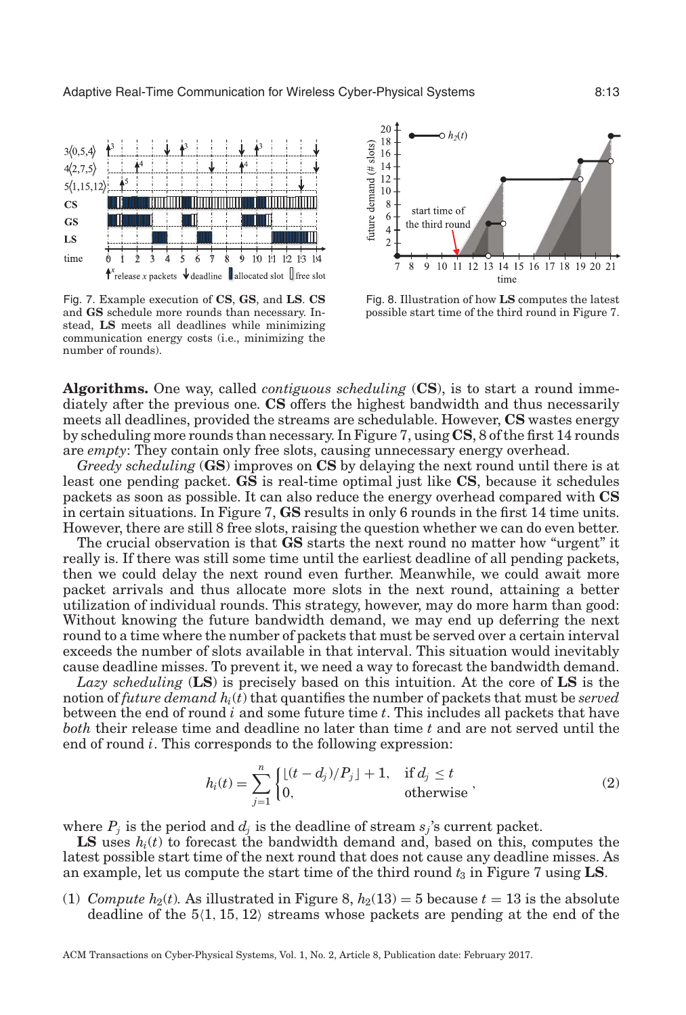

Fig. 7. Example execution of **CS**, **GS**, and **LS**. **CS** and **GS** schedule more rounds than necessary. Instead, **LS** meets all deadlines while minimizing communication energy costs (i.e., minimizing the number of rounds).



Fig. 8. Illustration of how **LS** computes the latest possible start time of the third round in Figure 7.

**Algorithms.** One way, called *contiguous scheduling* (**CS**), is to start a round immediately after the previous one. **CS** offers the highest bandwidth and thus necessarily meets all deadlines, provided the streams are schedulable. However, **CS** wastes energy by scheduling more rounds than necessary. In Figure 7, using **CS**, 8 of the first 14 rounds are *empty*: They contain only free slots, causing unnecessary energy overhead.

*Greedy scheduling* (**GS**) improves on **CS** by delaying the next round until there is at least one pending packet. **GS** is real-time optimal just like **CS**, because it schedules packets as soon as possible. It can also reduce the energy overhead compared with **CS** in certain situations. In Figure 7, **GS** results in only 6 rounds in the first 14 time units. However, there are still 8 free slots, raising the question whether we can do even better.

The crucial observation is that **GS** starts the next round no matter how "urgent" it really is. If there was still some time until the earliest deadline of all pending packets, then we could delay the next round even further. Meanwhile, we could await more packet arrivals and thus allocate more slots in the next round, attaining a better utilization of individual rounds. This strategy, however, may do more harm than good: Without knowing the future bandwidth demand, we may end up deferring the next round to a time where the number of packets that must be served over a certain interval exceeds the number of slots available in that interval. This situation would inevitably cause deadline misses. To prevent it, we need a way to forecast the bandwidth demand.

*Lazy scheduling* (**LS**) is precisely based on this intuition. At the core of **LS** is the notion of *future demand hi*(*t*) that quantifies the number of packets that must be *served* between the end of round *i* and some future time *t*. This includes all packets that have *both* their release time and deadline no later than time *t* and are not served until the end of round *i*. This corresponds to the following expression:

$$
h_i(t) = \sum_{j=1}^n \begin{cases} \lfloor (t - d_j)/P_j \rfloor + 1, & \text{if } d_j \le t \\ 0, & \text{otherwise} \end{cases} \tag{2}
$$

where  $P_j$  is the period and  $d_j$  is the deadline of stream  $s_j$ 's current packet.

**LS** uses  $h_i(t)$  to forecast the bandwidth demand and, based on this, computes the latest possible start time of the next round that does not cause any deadline misses. As an example, let us compute the start time of the third round  $t_3$  in Figure 7 using **LS**.

(1) *Compute h*<sub>2</sub>(*t*)*.* As illustrated in Figure 8,  $h_2(13) = 5$  because  $t = 13$  is the absolute deadline of the  $5\langle 1, 15, 12 \rangle$  streams whose packets are pending at the end of the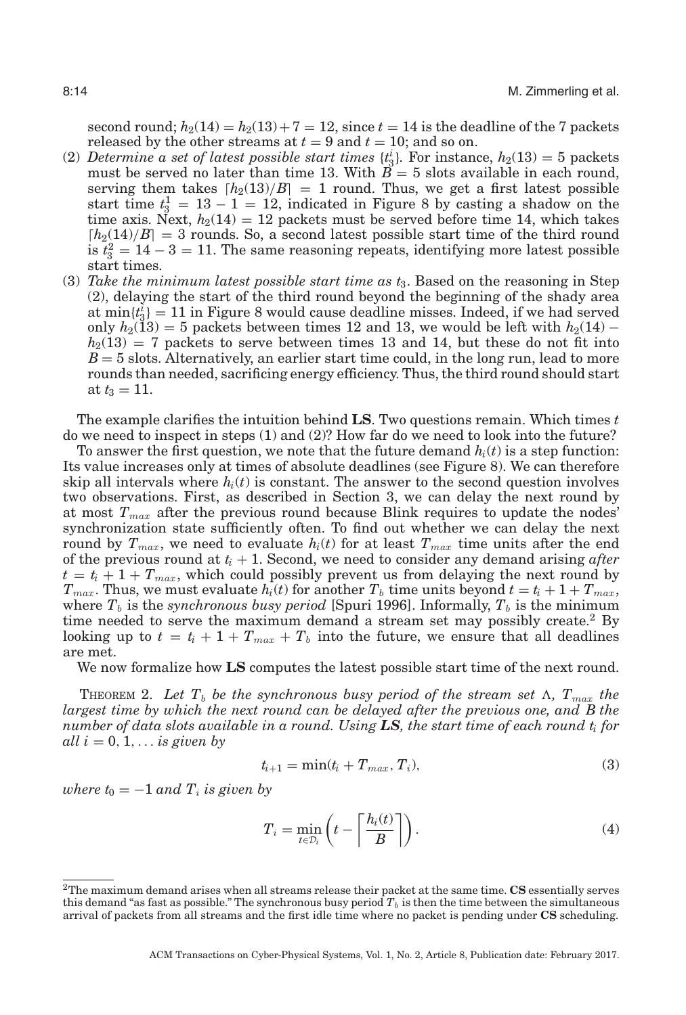second round;  $h_2(14) = h_2(13) + 7 = 12$ , since  $t = 14$  is the deadline of the 7 packets released by the other streams at  $t = 9$  and  $t = 10$ ; and so on.

- (2) *Determine a set of latest possible start times*  $\{t_3^i\}$ . For instance,  $h_2(13) = 5$  packets must be served no later than time 13. With  $\overline{B} = 5$  slots available in each round, serving them takes  $\lceil h_2(13)/B \rceil = 1$  round. Thus, we get a first latest possible start time  $t_3^1 = 13 - 1 = 12$ , indicated in Figure 8 by casting a shadow on the time axis. Next,  $h_2(14) = 12$  packets must be served before time 14, which takes  $\lceil h_2(14)/B \rceil = 3$  rounds. So, a second latest possible start time of the third round is  $t_3^2 = 14 - 3 = 11$ . The same reasoning repeats, identifying more latest possible start times.
- (3) *Take the minimum latest possible start time as t*3. Based on the reasoning in Step (2), delaying the start of the third round beyond the beginning of the shady area at  $\min\{t_3^i\} = 11$  in Figure 8 would cause deadline misses. Indeed, if we had served only  $h_2(13) = 5$  packets between times 12 and 13, we would be left with  $h_2(14)$  −  $h_2(13) = 7$  packets to serve between times 13 and 14, but these do not fit into  $B = 5$  slots. Alternatively, an earlier start time could, in the long run, lead to more rounds than needed, sacrificing energy efficiency. Thus, the third round should start at  $t_3 = 11$ .

The example clarifies the intuition behind **LS**. Two questions remain. Which times *t* do we need to inspect in steps (1) and (2)? How far do we need to look into the future?

To answer the first question, we note that the future demand  $h_i(t)$  is a step function: Its value increases only at times of absolute deadlines (see Figure 8). We can therefore skip all intervals where  $h_i(t)$  is constant. The answer to the second question involves two observations. First, as described in Section 3, we can delay the next round by at most  $T_{max}$  after the previous round because Blink requires to update the nodes' synchronization state sufficiently often. To find out whether we can delay the next round by  $T_{max}$ , we need to evaluate  $h_i(t)$  for at least  $T_{max}$  time units after the end of the previous round at *t<sup>i</sup>* + 1. Second, we need to consider any demand arising *after*  $t = t_i + 1 + T_{max}$ , which could possibly prevent us from delaying the next round by  $T_{max}$ . Thus, we must evaluate  $h_i(t)$  for another  $T_b$  time units beyond  $t = t_i + 1 + T_{max}$ , where  $T_b$  is the *synchronous busy period* [Spuri 1996]. Informally,  $T_b$  is the minimum time needed to serve the maximum demand a stream set may possibly create.<sup>2</sup> By looking up to  $t = t_i + 1 + T_{max} + T_b$  into the future, we ensure that all deadlines are met.

We now formalize how **LS** computes the latest possible start time of the next round.

THEOREM 2. Let  $T_b$  be the synchronous busy period of the stream set  $\Lambda$ ,  $T_{max}$  the *largest time by which the next round can be delayed after the previous one, and B the number of data slots available in a round. Using LS, the start time of each round t<sup>i</sup> for*  $all i = 0, 1, \ldots$  *is given by* 

$$
t_{i+1} = \min(t_i + T_{max}, T_i),\tag{3}
$$

*where*  $t_0 = -1$  *and*  $T_i$  *is given by* 

$$
T_i = \min_{t \in \mathcal{D}_i} \left( t - \left\lceil \frac{h_i(t)}{B} \right\rceil \right). \tag{4}
$$

<sup>2</sup>The maximum demand arises when all streams release their packet at the same time. **CS** essentially serves this demand "as fast as possible." The synchronous busy period  $T_b$  is then the time between the simultaneous arrival of packets from all streams and the first idle time where no packet is pending under **CS** scheduling.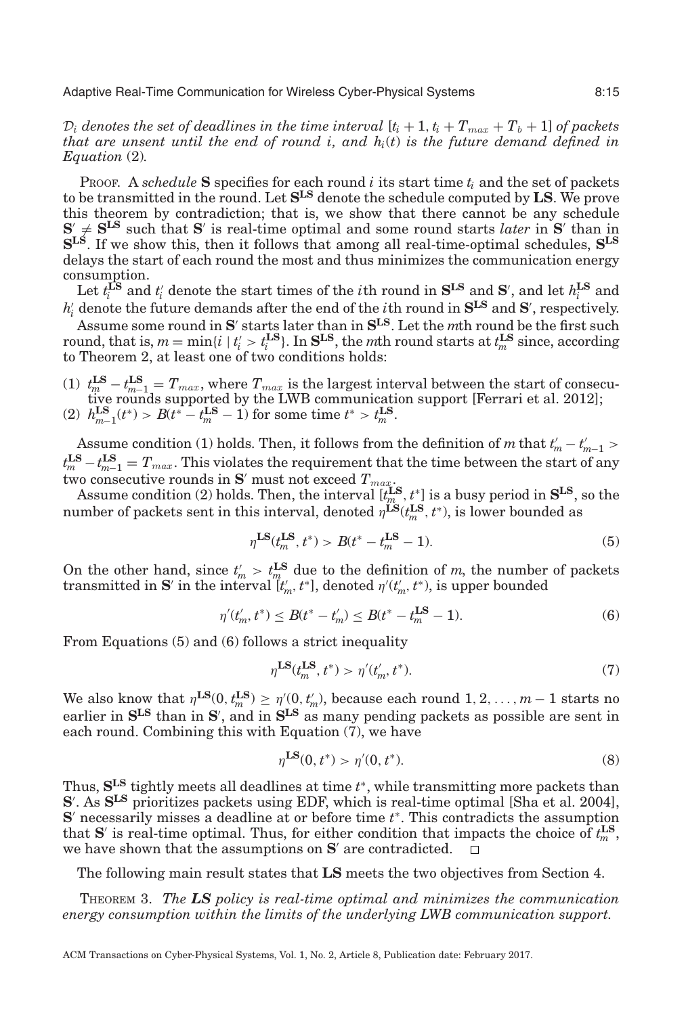$\mathcal{D}_i$  *denotes the set of deadlines in the time interval*  $[t_i + 1, t_i + T_{max} + T_b + 1]$  *of packets that are unsent until the end of round i, and*  $h_i(t)$  *is the future demand defined in Equation* (2)*.*

PROOF. A *schedule* **S** specifies for each round *i* its start time *t<sup>i</sup>* and the set of packets to be transmitted in the round. Let **S LS** denote the schedule computed by **LS**. We prove this theorem by contradiction; that is, we show that there cannot be any schedule  $S' \neq S^{LS}$  such that  $S'$  is real-time optimal and some round starts *later* in  $S'$  than in **S LS**. If we show this, then it follows that among all real-time-optimal schedules, **S LS** delays the start of each round the most and thus minimizes the communication energy consumption.

Let  $t_i^{\text{LS}}$  and  $t_i'$  denote the start times of the *i*<sup>th</sup> round in  $S^{\text{LS}}$  and  $S'$ , and let  $h_i^{\text{LS}}$  and  $h'_i$  denote the future demands after the end of the *i*th round in  $S^{LS}$  and  $S'$ , respectively.

Assume some round in S' starts later than in  $S^{LS}$ . Let the *m*th round be the first such round, that is,  $m = \min\{i \mid t'_i > t_i^{LS}\}\$ . In  $S^{LS}$ , the *m*th round starts at  $t_m^{LS}$  since, according to Theorem 2, at least one of two conditions holds:

- (1)  $t_m^{\text{LS}} t_{m-1}^{\text{LS}} = T_{max}$ , where  $T_{max}$  is the largest interval between the start of consecutive rounds supported by the LWB communication support [Ferrari et al. 2012];
- (2)  $h_{m-1}^{\text{LS}}(t^*) > B(t^* t_m^{\text{LS}} 1)$  for some time  $t^* > t_m^{\text{LS}}$ .

Assume condition (1) holds. Then, it follows from the definition of *m* that  $t'_{m} - t'_{m-1}$  >  $t_{m}^{\textbf{LS}}-t_{m-1}^{\textbf{LS}}=T_{max}.$  This violates the requirement that the time between the start of any  $two\ consecutive\ rounds\ in\ \mathbf{S}'$  must not exceed  $T_{max}$ .

Assume condition (2) holds. Then, the interval  $[t_m^{\text{LS}}, t^*]$  is a busy period in  $S^{\text{LS}}$ , so the number of packets sent in this interval, denoted  $\eta^{\text{LS}}(t_m^{\text{LS}},t^*)$ , is lower bounded as

$$
\eta^{\mathbf{LS}}(t_m^{\mathbf{LS}}, t^*) > B(t^* - t_m^{\mathbf{LS}} - 1). \tag{5}
$$

On the other hand, since  $t'_m > t_m^{\text{LS}}$  due to the definition of *m*, the number of packets transmitted in  $S'$  in the interval  $\tilde{t}'_m$ ,  $t^*$ , denoted  $\eta'(t'_m, t^*)$ , is upper bounded

$$
\eta'(t'_m, t^*) \le B(t^* - t'_m) \le B(t^* - t_m^{\text{LS}} - 1). \tag{6}
$$

From Equations (5) and (6) follows a strict inequality

$$
\eta^{\text{LS}}(t_m^{\text{LS}}, t^*) > \eta'(t'_m, t^*). \tag{7}
$$

We also know that  $\eta^{\text{LS}}(0, t_m^{\text{LS}}) \geq \eta'(0, t_m')$ , because each round  $1, 2, ..., m-1$  starts no earlier in **S LS** than in **S** ′ , and in **S LS** as many pending packets as possible are sent in each round. Combining this with Equation (7), we have

$$
\eta^{\text{LS}}(0, t^*) > \eta'(0, t^*). \tag{8}
$$

Thus, **S LS** tightly meets all deadlines at time *t* ∗ , while transmitting more packets than S'. As S<sup>LS</sup> prioritizes packets using EDF, which is real-time optimal [Sha et al. 2004], **S** ′ necessarily misses a deadline at or before time *t* ∗ . This contradicts the assumption that **S**<sup>*'*</sup> is real-time optimal. Thus, for either condition that impacts the choice of  $t_m^{\text{LS}}$ , we have shown that the assumptions on **S** ′ are contradicted.

The following main result states that **LS** meets the two objectives from Section 4.

THEOREM 3. *The LS policy is real-time optimal and minimizes the communication energy consumption within the limits of the underlying LWB communication support.*

ACM Transactions on Cyber-Physical Systems, Vol. 1, No. 2, Article 8, Publication date: February 2017.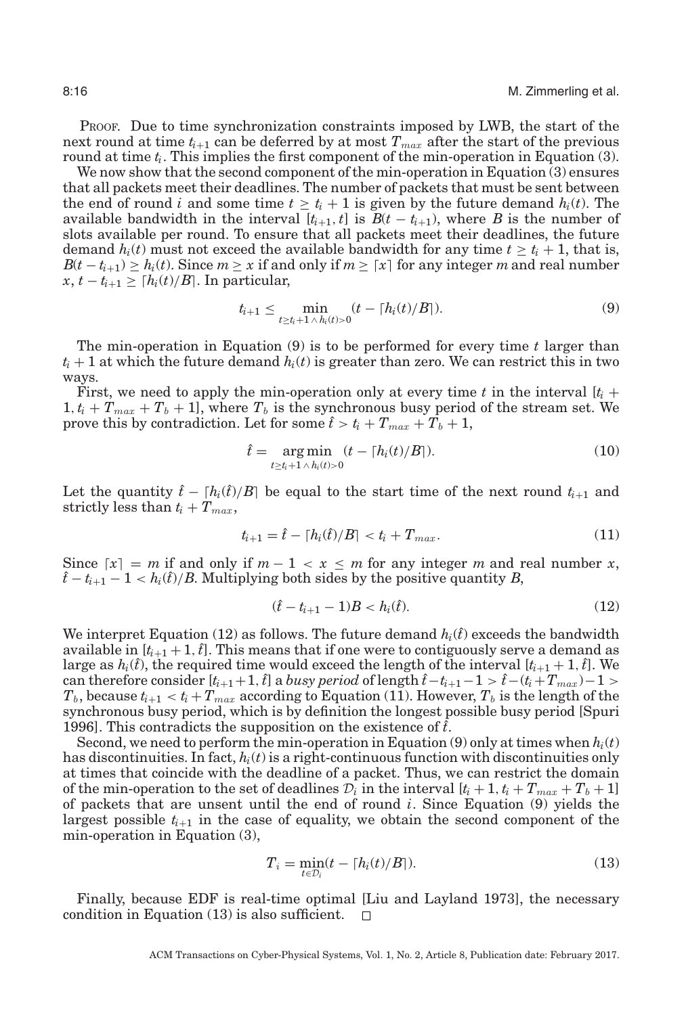PROOF. Due to time synchronization constraints imposed by LWB, the start of the next round at time  $t_{i+1}$  can be deferred by at most  $T_{max}$  after the start of the previous round at time *t<sup>i</sup>* . This implies the first component of the min-operation in Equation (3).

We now show that the second component of the min-operation in Equation (3) ensures that all packets meet their deadlines. The number of packets that must be sent between the end of round *i* and some time  $t \geq t_i + 1$  is given by the future demand  $h_i(t)$ . The available bandwidth in the interval  $[t_{i+1}, t]$  is  $B(t - t_{i+1})$ , where *B* is the number of slots available per round. To ensure that all packets meet their deadlines, the future demand  $h_i(t)$  must not exceed the available bandwidth for any time  $t \geq t_i + 1$ , that is,  $B(t - t_{i+1}) \geq h_i(t)$ . Since  $m \geq x$  if and only if  $m \geq \lceil x \rceil$  for any integer *m* and real number  $x, t - t_{i+1} \geq \lceil h_i(t)/B \rceil$ . In particular,

$$
t_{i+1} \le \min_{t \ge t_i + 1 \wedge h_i(t) > 0} (t - \lceil h_i(t)/B \rceil). \tag{9}
$$

The min-operation in Equation (9) is to be performed for every time *t* larger than  $t_i + 1$  at which the future demand  $h_i(t)$  is greater than zero. We can restrict this in two ways.

First, we need to apply the min-operation only at every time  $t$  in the interval  $[t_i +]$  $1, t_i + T_{max} + T_b + 1$ , where  $T_b$  is the synchronous busy period of the stream set. We prove this by contradiction. Let for some  $\hat{t} > t_i + T_{max} + T_b + 1$ ,

$$
\hat{t} = \underset{t \ge t_i + 1 \wedge h_i(t) > 0}{\arg \min} (t - \lceil h_i(t)/B \rceil). \tag{10}
$$

Let the quantity  $\hat{t} - [h_i(\hat{t})/B]$  be equal to the start time of the next round  $t_{i+1}$  and strictly less than  $t_i + T_{max}$ ,

$$
t_{i+1} = \hat{t} - \lceil h_i(\hat{t})/B \rceil < t_i + T_{max}.\tag{11}
$$

Since  $\lceil x \rceil = m$  if and only if  $m - 1 < x \leq m$  for any integer *m* and real number *x*,  $\hat{t} - t_{i+1} - 1 < h_i(\hat{t})/B$ . Multiplying both sides by the positive quantity *B*,

$$
(\hat{t} - t_{i+1} - 1)B < h_i(\hat{t}).\tag{12}
$$

We interpret Equation (12) as follows. The future demand  $h_i(\hat{t})$  exceeds the bandwidth available in  $[t_{i+1} + 1, \hat{t}]$ . This means that if one were to contiguously serve a demand as large as  $h_i(\hat{t})$ , the required time would exceed the length of the interval  $[t_{i+1} + 1, \hat{t}]$ . We can therefore consider  $[t_{i+1}+1, \hat{t}]$  a *busy period* of length  $\hat{t}$ − $t_{i+1}-1 > \hat{t}$ − $(t_i+T_{max})-1 >$  $T_b$ , because  $t_{i+1} < t_i + T_{max}$  according to Equation (11). However,  $T_b$  is the length of the synchronous busy period, which is by definition the longest possible busy period [Spuri 1996]. This contradicts the supposition on the existence of *t*ˆ.

Second, we need to perform the min-operation in Equation  $(9)$  only at times when  $h_i(t)$ has discontinuities. In fact, *hi*(*t*) is a right-continuous function with discontinuities only at times that coincide with the deadline of a packet. Thus, we can restrict the domain of the min-operation to the set of deadlines  $\mathcal{D}_i$  in the interval  $[t_i + 1, t_i + T_{max} + T_b + 1]$ of packets that are unsent until the end of round *i*. Since Equation (9) yields the largest possible  $t_{i+1}$  in the case of equality, we obtain the second component of the min-operation in Equation (3),

$$
T_i = \min_{t \in \mathcal{D}_i} (t - \lceil h_i(t)/B \rceil). \tag{13}
$$

Finally, because EDF is real-time optimal [Liu and Layland 1973], the necessary condition in Equation (13) is also sufficient.  $\Box$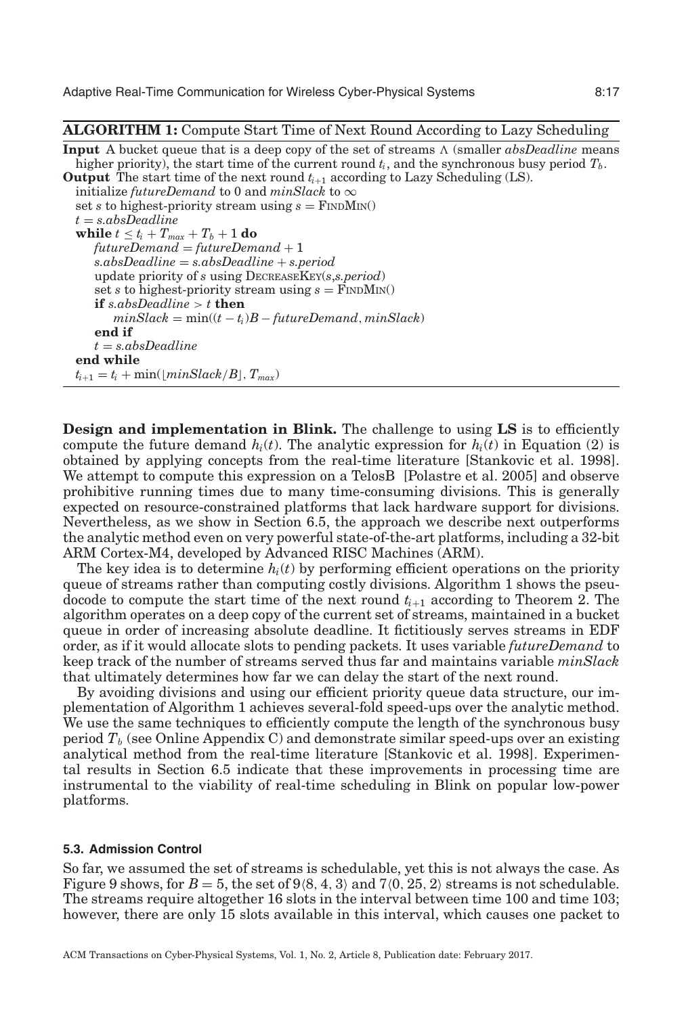# **ALGORITHM 1:** Compute Start Time of Next Round According to Lazy Scheduling

| <b>Input</b> A bucket queue that is a deep copy of the set of streams $\Lambda$ (smaller <i>absDeadline</i> means |
|-------------------------------------------------------------------------------------------------------------------|
| higher priority), the start time of the current round $t_i$ , and the synchronous busy period $T_b$ .             |
| <b>Output</b> The start time of the next round $t_{i+1}$ according to Lazy Scheduling (LS).                       |
| initialize futureDemand to 0 and minSlack to $\infty$                                                             |
| set s to highest-priority stream using $s = \text{FINDMIN}()$                                                     |
| $t = s.absDeadline$                                                                                               |
| while $t \leq t_i + T_{max} + T_b + 1$ do                                                                         |
| futureDemand = futureDemand + 1                                                                                   |
| $s.absDeadline = s.absDeadline + s.period$                                                                        |
| update priority of s using $D_{\text{ECREASEKEV}(s,s,period)}$                                                    |
| set s to highest-priority stream using $s = \text{FINDMIN}()$                                                     |
| <b>if</b> s.absDeadline > t <b>then</b>                                                                           |
| $minSlack = min((t - t_i)B - futureDemand, minSlack)$                                                             |
| end if                                                                                                            |
| $t = s.absDeadline$                                                                                               |
| end while                                                                                                         |
| $t_{i+1} = t_i + \min(\vert minSlack/B\vert, T_{max})$                                                            |
|                                                                                                                   |

**Design and implementation in Blink.** The challenge to using **LS** is to efficiently compute the future demand  $h_i(t)$ . The analytic expression for  $h_i(t)$  in Equation (2) is obtained by applying concepts from the real-time literature [Stankovic et al. 1998]. We attempt to compute this expression on a TelosB [Polastre et al. 2005] and observe prohibitive running times due to many time-consuming divisions. This is generally expected on resource-constrained platforms that lack hardware support for divisions. Nevertheless, as we show in Section 6.5, the approach we describe next outperforms the analytic method even on very powerful state-of-the-art platforms, including a 32-bit ARM Cortex-M4, developed by Advanced RISC Machines (ARM).

The key idea is to determine  $h_i(t)$  by performing efficient operations on the priority queue of streams rather than computing costly divisions. Algorithm 1 shows the pseudocode to compute the start time of the next round  $t_{i+1}$  according to Theorem 2. The algorithm operates on a deep copy of the current set of streams, maintained in a bucket queue in order of increasing absolute deadline. It fictitiously serves streams in EDF order, as if it would allocate slots to pending packets. It uses variable *futureDemand* to keep track of the number of streams served thus far and maintains variable *minSlack* that ultimately determines how far we can delay the start of the next round.

By avoiding divisions and using our efficient priority queue data structure, our implementation of Algorithm 1 achieves several-fold speed-ups over the analytic method. We use the same techniques to efficiently compute the length of the synchronous busy period  $T_b$  (see Online Appendix C) and demonstrate similar speed-ups over an existing analytical method from the real-time literature [Stankovic et al. 1998]. Experimental results in Section 6.5 indicate that these improvements in processing time are instrumental to the viability of real-time scheduling in Blink on popular low-power platforms.

## **5.3. Admission Control**

So far, we assumed the set of streams is schedulable, yet this is not always the case. As Figure 9 shows, for  $B = 5$ , the set of 9 $(8, 4, 3)$  and  $7(0, 25, 2)$  streams is not schedulable. The streams require altogether 16 slots in the interval between time 100 and time 103; however, there are only 15 slots available in this interval, which causes one packet to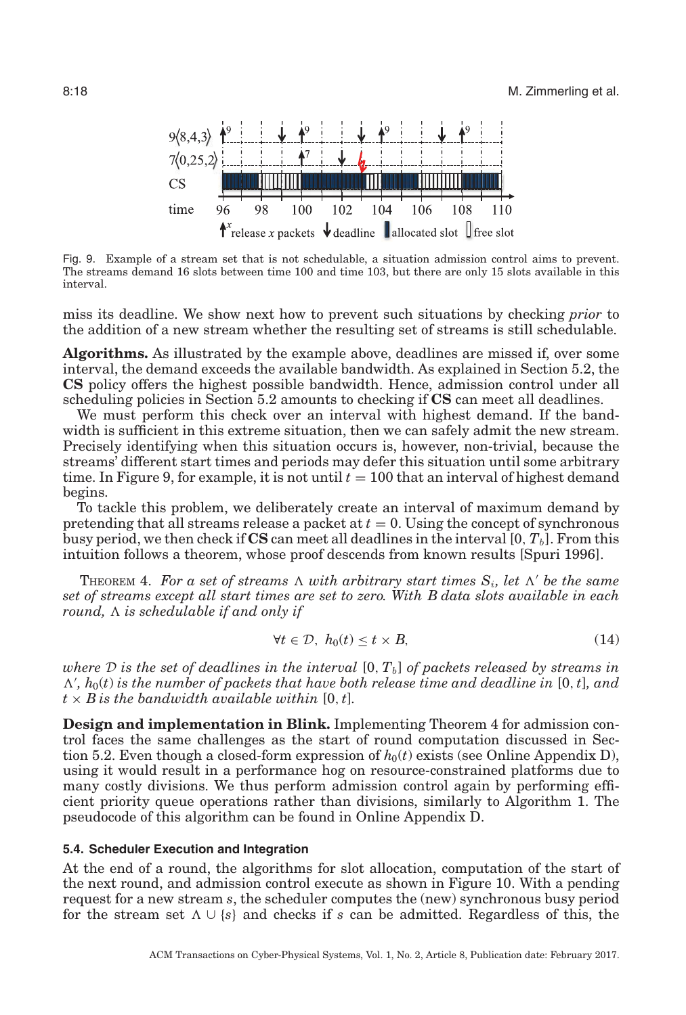

Fig. 9. Example of a stream set that is not schedulable, a situation admission control aims to prevent. The streams demand 16 slots between time 100 and time 103, but there are only 15 slots available in this interval.

miss its deadline. We show next how to prevent such situations by checking *prior* to the addition of a new stream whether the resulting set of streams is still schedulable.

**Algorithms.** As illustrated by the example above, deadlines are missed if, over some interval, the demand exceeds the available bandwidth. As explained in Section 5.2, the **CS** policy offers the highest possible bandwidth. Hence, admission control under all scheduling policies in Section 5.2 amounts to checking if **CS** can meet all deadlines.

We must perform this check over an interval with highest demand. If the bandwidth is sufficient in this extreme situation, then we can safely admit the new stream. Precisely identifying when this situation occurs is, however, non-trivial, because the streams' different start times and periods may defer this situation until some arbitrary time. In Figure 9, for example, it is not until  $t = 100$  that an interval of highest demand begins.

To tackle this problem, we deliberately create an interval of maximum demand by pretending that all streams release a packet at  $t = 0$ . Using the concept of synchronous busy period, we then check if  $\text{CS}$  can meet all deadlines in the interval [0,  $T_b$ ]. From this intuition follows a theorem, whose proof descends from known results [Spuri 1996].

THEOREM 4. For a set of streams  $\Lambda$  with arbitrary start times  $S_i$ , let  $\Lambda'$  be the same *set of streams except all start times are set to zero. With B data slots available in each round,* - *is schedulable if and only if*

$$
\forall t \in \mathcal{D}, \ h_0(t) \le t \times B,\tag{14}
$$

*where* D *is the set of deadlines in the interval* [0, *T*b] *of packets released by streams in*  $\Lambda'$ ,  $h_0(t)$  is the number of packets that have both release time and deadline in [0, t], and  $t \times B$  *is the bandwidth available within* [0, *t*].

**Design and implementation in Blink.** Implementing Theorem 4 for admission control faces the same challenges as the start of round computation discussed in Section 5.2. Even though a closed-form expression of  $h_0(t)$  exists (see Online Appendix D), using it would result in a performance hog on resource-constrained platforms due to many costly divisions. We thus perform admission control again by performing efficient priority queue operations rather than divisions, similarly to Algorithm 1. The pseudocode of this algorithm can be found in Online Appendix D.

## **5.4. Scheduler Execution and Integration**

At the end of a round, the algorithms for slot allocation, computation of the start of the next round, and admission control execute as shown in Figure 10. With a pending request for a new stream *s*, the scheduler computes the (new) synchronous busy period for the stream set  $\Lambda \cup \{s\}$  and checks if *s* can be admitted. Regardless of this, the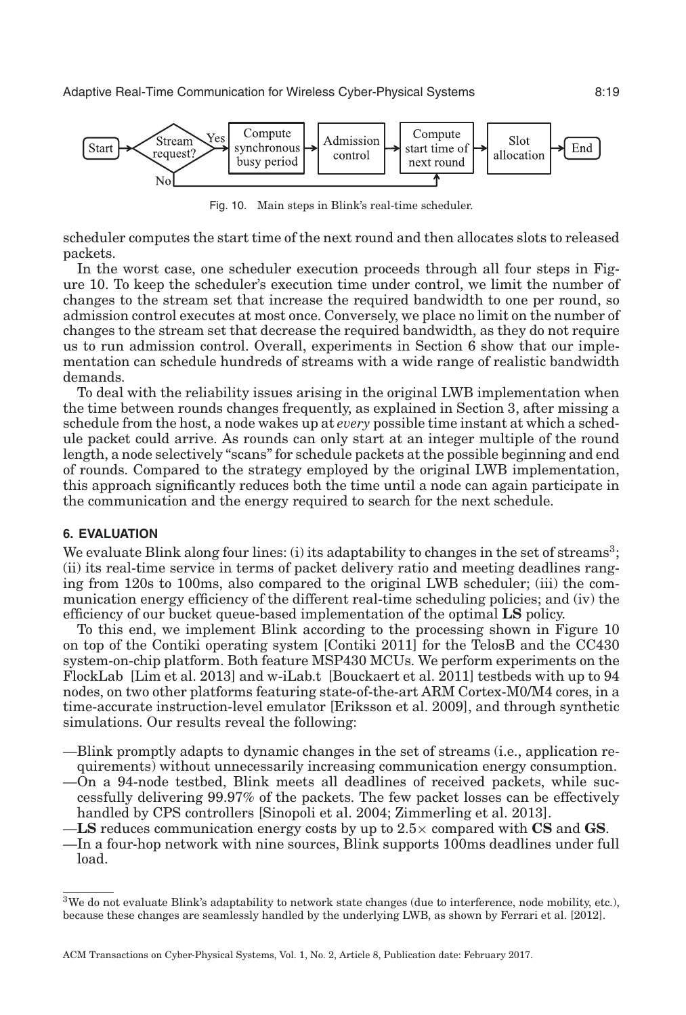

Fig. 10. Main steps in Blink's real-time scheduler.

scheduler computes the start time of the next round and then allocates slots to released packets.

In the worst case, one scheduler execution proceeds through all four steps in Figure 10. To keep the scheduler's execution time under control, we limit the number of changes to the stream set that increase the required bandwidth to one per round, so admission control executes at most once. Conversely, we place no limit on the number of changes to the stream set that decrease the required bandwidth, as they do not require us to run admission control. Overall, experiments in Section 6 show that our implementation can schedule hundreds of streams with a wide range of realistic bandwidth demands.

To deal with the reliability issues arising in the original LWB implementation when the time between rounds changes frequently, as explained in Section 3, after missing a schedule from the host, a node wakes up at *every* possible time instant at which a schedule packet could arrive. As rounds can only start at an integer multiple of the round length, a node selectively "scans" for schedule packets at the possible beginning and end of rounds. Compared to the strategy employed by the original LWB implementation, this approach significantly reduces both the time until a node can again participate in the communication and the energy required to search for the next schedule.

# **6. EVALUATION**

We evaluate Blink along four lines: (i) its adaptability to changes in the set of streams<sup>3</sup>; (ii) its real-time service in terms of packet delivery ratio and meeting deadlines ranging from 120s to 100ms, also compared to the original LWB scheduler; (iii) the communication energy efficiency of the different real-time scheduling policies; and (iv) the efficiency of our bucket queue-based implementation of the optimal **LS** policy.

To this end, we implement Blink according to the processing shown in Figure 10 on top of the Contiki operating system [Contiki 2011] for the TelosB and the CC430 system-on-chip platform. Both feature MSP430 MCUs. We perform experiments on the FlockLab [Lim et al. 2013] and w-iLab.t [Bouckaert et al. 2011] testbeds with up to 94 nodes, on two other platforms featuring state-of-the-art ARM Cortex-M0/M4 cores, in a time-accurate instruction-level emulator [Eriksson et al. 2009], and through synthetic simulations. Our results reveal the following:

- —Blink promptly adapts to dynamic changes in the set of streams (i.e., application requirements) without unnecessarily increasing communication energy consumption.
- —On a 94-node testbed, Blink meets all deadlines of received packets, while successfully delivering 99.97% of the packets. The few packet losses can be effectively handled by CPS controllers [Sinopoli et al. 2004; Zimmerling et al. 2013].
- —**LS** reduces communication energy costs by up to 2.5× compared with **CS** and **GS**.
- —In a four-hop network with nine sources, Blink supports 100ms deadlines under full load.

 $3$ We do not evaluate Blink's adaptability to network state changes (due to interference, node mobility, etc.), because these changes are seamlessly handled by the underlying LWB, as shown by Ferrari et al. [2012].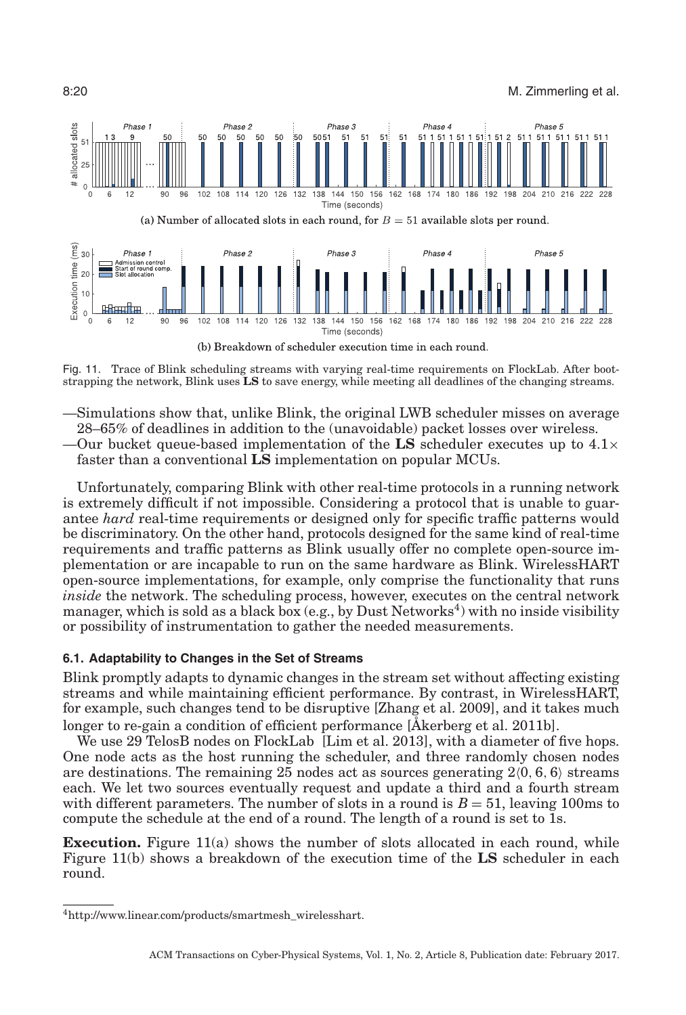

(b) Breakdown of scheduler execution time in each round.

Fig. 11. Trace of Blink scheduling streams with varying real-time requirements on FlockLab. After bootstrapping the network, Blink uses **LS** to save energy, while meeting all deadlines of the changing streams.

- —Simulations show that, unlike Blink, the original LWB scheduler misses on average 28–65% of deadlines in addition to the (unavoidable) packet losses over wireless.
- -Our bucket queue-based implementation of the **LS** scheduler executes up to  $4.1 \times$ faster than a conventional **LS** implementation on popular MCUs.

Unfortunately, comparing Blink with other real-time protocols in a running network is extremely difficult if not impossible. Considering a protocol that is unable to guarantee *hard* real-time requirements or designed only for specific traffic patterns would be discriminatory. On the other hand, protocols designed for the same kind of real-time requirements and traffic patterns as Blink usually offer no complete open-source implementation or are incapable to run on the same hardware as Blink. WirelessHART open-source implementations, for example, only comprise the functionality that runs *inside* the network. The scheduling process, however, executes on the central network manager, which is sold as a black box (e.g., by Dust Networks<sup>4</sup>) with no inside visibility or possibility of instrumentation to gather the needed measurements.

# **6.1. Adaptability to Changes in the Set of Streams**

Blink promptly adapts to dynamic changes in the stream set without affecting existing streams and while maintaining efficient performance. By contrast, in WirelessHART, for example, such changes tend to be disruptive [Zhang et al. 2009], and it takes much longer to re-gain a condition of efficient performance [Åkerberg et al. 2011b].

We use 29 TelosB nodes on FlockLab [Lim et al. 2013], with a diameter of five hops. One node acts as the host running the scheduler, and three randomly chosen nodes are destinations. The remaining 25 nodes act as sources generating  $2(0, 6, 6)$  streams each. We let two sources eventually request and update a third and a fourth stream with different parameters. The number of slots in a round is  $B = 51$ , leaving 100ms to compute the schedule at the end of a round. The length of a round is set to 1s.

**Execution.** Figure 11(a) shows the number of slots allocated in each round, while Figure 11(b) shows a breakdown of the execution time of the **LS** scheduler in each round.

<sup>4</sup>http://www.linear.com/products/smartmesh\_wirelesshart.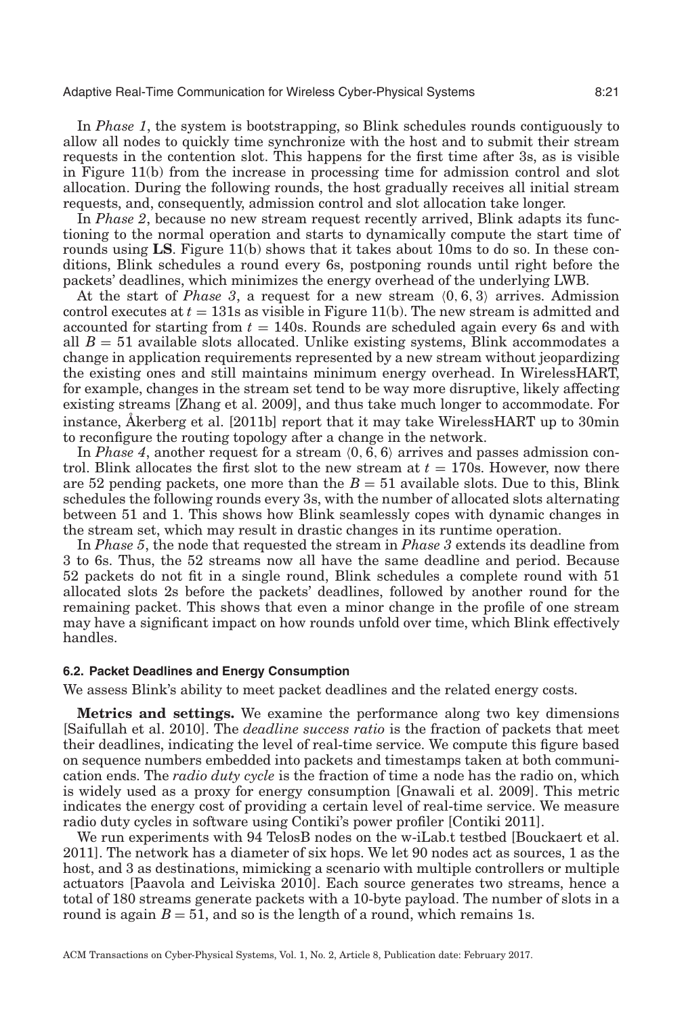Adaptive Real-Time Communication for Wireless Cyber-Physical Systems 8:21

In *Phase 1*, the system is bootstrapping, so Blink schedules rounds contiguously to allow all nodes to quickly time synchronize with the host and to submit their stream requests in the contention slot. This happens for the first time after 3s, as is visible in Figure 11(b) from the increase in processing time for admission control and slot allocation. During the following rounds, the host gradually receives all initial stream requests, and, consequently, admission control and slot allocation take longer.

In *Phase 2*, because no new stream request recently arrived, Blink adapts its functioning to the normal operation and starts to dynamically compute the start time of rounds using **LS**. Figure 11(b) shows that it takes about 10ms to do so. In these conditions, Blink schedules a round every 6s, postponing rounds until right before the packets' deadlines, which minimizes the energy overhead of the underlying LWB.

At the start of *Phase 3*, a request for a new stream  $(0, 6, 3)$  arrives. Admission control executes at  $t = 131$ s as visible in Figure 11(b). The new stream is admitted and accounted for starting from *t* = 140s. Rounds are scheduled again every 6s and with all  $B = 51$  available slots allocated. Unlike existing systems, Blink accommodates a change in application requirements represented by a new stream without jeopardizing the existing ones and still maintains minimum energy overhead. In WirelessHART, for example, changes in the stream set tend to be way more disruptive, likely affecting existing streams [Zhang et al. 2009], and thus take much longer to accommodate. For instance, Åkerberg et al. [2011b] report that it may take WirelessHART up to 30min to reconfigure the routing topology after a change in the network.

In *Phase 4*, another request for a stream  $\langle 0, 6, 6 \rangle$  arrives and passes admission control. Blink allocates the first slot to the new stream at  $t = 170$ s. However, now there are 52 pending packets, one more than the  $B = 51$  available slots. Due to this, Blink schedules the following rounds every 3s, with the number of allocated slots alternating between 51 and 1. This shows how Blink seamlessly copes with dynamic changes in the stream set, which may result in drastic changes in its runtime operation.

In *Phase 5*, the node that requested the stream in *Phase 3* extends its deadline from 3 to 6s. Thus, the 52 streams now all have the same deadline and period. Because 52 packets do not fit in a single round, Blink schedules a complete round with 51 allocated slots 2s before the packets' deadlines, followed by another round for the remaining packet. This shows that even a minor change in the profile of one stream may have a significant impact on how rounds unfold over time, which Blink effectively handles.

# **6.2. Packet Deadlines and Energy Consumption**

We assess Blink's ability to meet packet deadlines and the related energy costs.

**Metrics and settings.** We examine the performance along two key dimensions [Saifullah et al. 2010]. The *deadline success ratio* is the fraction of packets that meet their deadlines, indicating the level of real-time service. We compute this figure based on sequence numbers embedded into packets and timestamps taken at both communication ends. The *radio duty cycle* is the fraction of time a node has the radio on, which is widely used as a proxy for energy consumption [Gnawali et al. 2009]. This metric indicates the energy cost of providing a certain level of real-time service. We measure radio duty cycles in software using Contiki's power profiler [Contiki 2011].

We run experiments with 94 TelosB nodes on the w-iLab.t testbed [Bouckaert et al. 2011]. The network has a diameter of six hops. We let 90 nodes act as sources, 1 as the host, and 3 as destinations, mimicking a scenario with multiple controllers or multiple actuators [Paavola and Leiviska 2010]. Each source generates two streams, hence a total of 180 streams generate packets with a 10-byte payload. The number of slots in a round is again  $B = 51$ , and so is the length of a round, which remains 1s.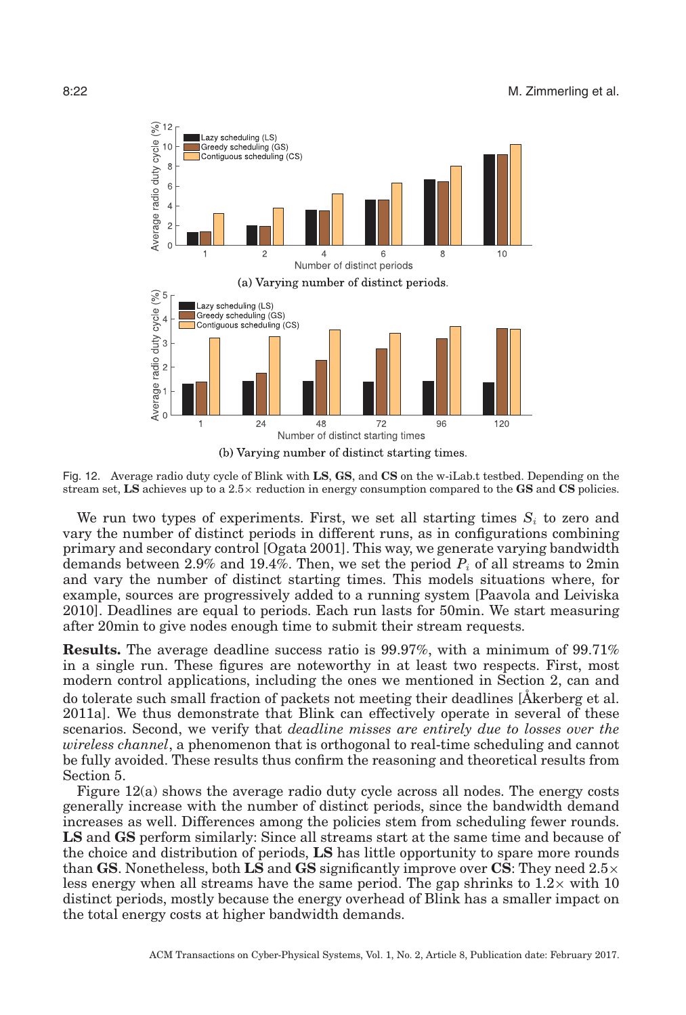

Fig. 12. Average radio duty cycle of Blink with **LS**, **GS**, and **CS** on the w-iLab.t testbed. Depending on the stream set, **LS** achieves up to a 2.5× reduction in energy consumption compared to the **GS** and **CS** policies.

We run two types of experiments. First, we set all starting times  $S_i$  to zero and vary the number of distinct periods in different runs, as in configurations combining primary and secondary control [Ogata 2001]. This way, we generate varying bandwidth demands between 2.9% and 19.4%. Then, we set the period  $P_i$  of all streams to 2min and vary the number of distinct starting times. This models situations where, for example, sources are progressively added to a running system [Paavola and Leiviska 2010]. Deadlines are equal to periods. Each run lasts for 50min. We start measuring after 20min to give nodes enough time to submit their stream requests.

**Results.** The average deadline success ratio is 99.97%, with a minimum of 99.71% in a single run. These figures are noteworthy in at least two respects. First, most modern control applications, including the ones we mentioned in Section 2, can and do tolerate such small fraction of packets not meeting their deadlines [Åkerberg et al. 2011a]. We thus demonstrate that Blink can effectively operate in several of these scenarios. Second, we verify that *deadline misses are entirely due to losses over the wireless channel*, a phenomenon that is orthogonal to real-time scheduling and cannot be fully avoided. These results thus confirm the reasoning and theoretical results from Section 5.

Figure 12(a) shows the average radio duty cycle across all nodes. The energy costs generally increase with the number of distinct periods, since the bandwidth demand increases as well. Differences among the policies stem from scheduling fewer rounds. **LS** and **GS** perform similarly: Since all streams start at the same time and because of the choice and distribution of periods, **LS** has little opportunity to spare more rounds than **GS**. Nonetheless, both **LS** and **GS** significantly improve over **CS**: They need 2.5× less energy when all streams have the same period. The gap shrinks to  $1.2 \times$  with 10 distinct periods, mostly because the energy overhead of Blink has a smaller impact on the total energy costs at higher bandwidth demands.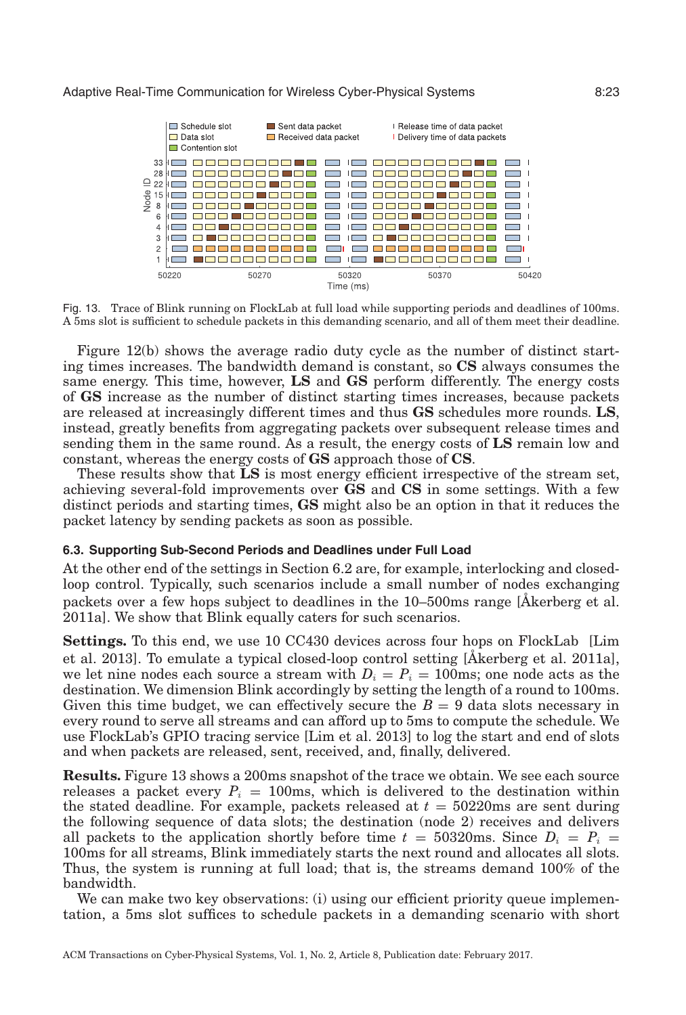## Adaptive Real-Time Communication for Wireless Cyber-Physical Systems 8:23



Fig. 13. Trace of Blink running on FlockLab at full load while supporting periods and deadlines of 100ms. A 5ms slot is sufficient to schedule packets in this demanding scenario, and all of them meet their deadline.

Figure 12(b) shows the average radio duty cycle as the number of distinct starting times increases. The bandwidth demand is constant, so **CS** always consumes the same energy. This time, however, **LS** and **GS** perform differently. The energy costs of **GS** increase as the number of distinct starting times increases, because packets are released at increasingly different times and thus **GS** schedules more rounds. **LS**, instead, greatly benefits from aggregating packets over subsequent release times and sending them in the same round. As a result, the energy costs of **LS** remain low and constant, whereas the energy costs of **GS** approach those of **CS**.

These results show that **LS** is most energy efficient irrespective of the stream set, achieving several-fold improvements over **GS** and **CS** in some settings. With a few distinct periods and starting times, **GS** might also be an option in that it reduces the packet latency by sending packets as soon as possible.

## **6.3. Supporting Sub-Second Periods and Deadlines under Full Load**

At the other end of the settings in Section 6.2 are, for example, interlocking and closedloop control. Typically, such scenarios include a small number of nodes exchanging packets over a few hops subject to deadlines in the 10–500ms range [Åkerberg et al. 2011a]. We show that Blink equally caters for such scenarios.

**Settings.** To this end, we use 10 CC430 devices across four hops on FlockLab [Lim] et al. 2013]. To emulate a typical closed-loop control setting [Åkerberg et al. 2011a], we let nine nodes each source a stream with  $D_i = P_i = 100$ ms; one node acts as the destination. We dimension Blink accordingly by setting the length of a round to 100ms. Given this time budget, we can effectively secure the  $B = 9$  data slots necessary in every round to serve all streams and can afford up to 5ms to compute the schedule. We use FlockLab's GPIO tracing service [Lim et al. 2013] to log the start and end of slots and when packets are released, sent, received, and, finally, delivered.

**Results.** Figure 13 shows a 200ms snapshot of the trace we obtain. We see each source releases a packet every  $P_i = 100$ ms, which is delivered to the destination within the stated deadline. For example, packets released at  $t = 50220$  ms are sent during the following sequence of data slots; the destination (node 2) receives and delivers all packets to the application shortly before time  $t = 50320$ ms. Since  $D_i = P_i$ 100ms for all streams, Blink immediately starts the next round and allocates all slots. Thus, the system is running at full load; that is, the streams demand 100% of the bandwidth.

We can make two key observations: (i) using our efficient priority queue implementation, a 5ms slot suffices to schedule packets in a demanding scenario with short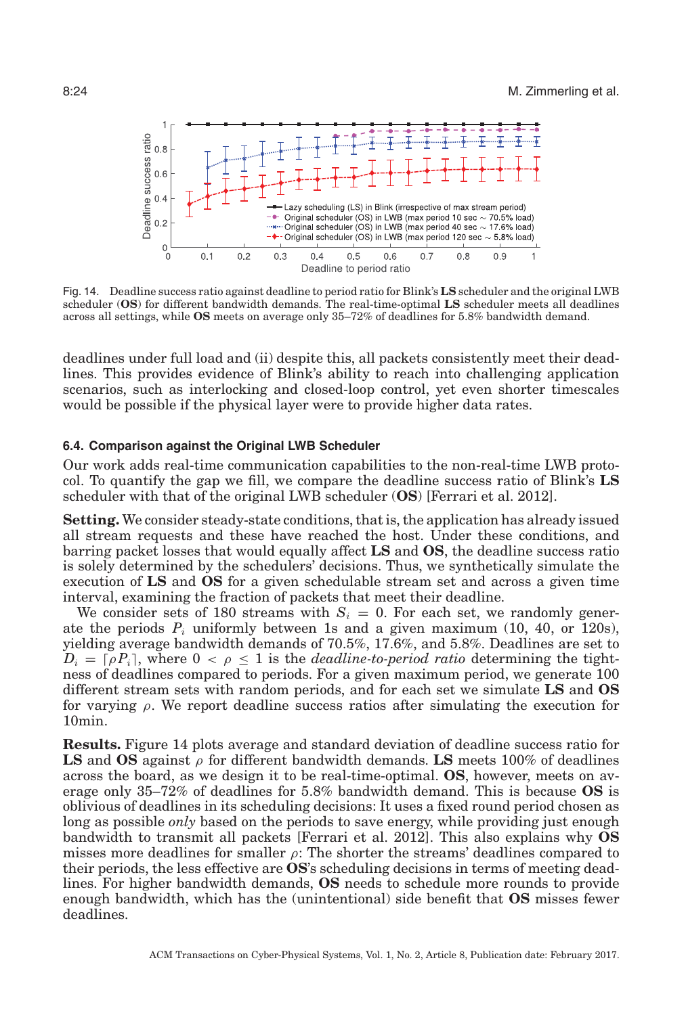

Fig. 14. Deadline success ratio against deadline to period ratio for Blink's **LS** scheduler and the original LWB scheduler (**OS**) for different bandwidth demands. The real-time-optimal **LS** scheduler meets all deadlines across all settings, while **OS** meets on average only 35–72% of deadlines for 5.8% bandwidth demand.

deadlines under full load and (ii) despite this, all packets consistently meet their deadlines. This provides evidence of Blink's ability to reach into challenging application scenarios, such as interlocking and closed-loop control, yet even shorter timescales would be possible if the physical layer were to provide higher data rates.

# **6.4. Comparison against the Original LWB Scheduler**

Our work adds real-time communication capabilities to the non-real-time LWB protocol. To quantify the gap we fill, we compare the deadline success ratio of Blink's **LS** scheduler with that of the original LWB scheduler (**OS**) [Ferrari et al. 2012].

**Setting.** We consider steady-state conditions, that is, the application has already issued all stream requests and these have reached the host. Under these conditions, and barring packet losses that would equally affect **LS** and **OS**, the deadline success ratio is solely determined by the schedulers' decisions. Thus, we synthetically simulate the execution of **LS** and **OS** for a given schedulable stream set and across a given time interval, examining the fraction of packets that meet their deadline.

We consider sets of 180 streams with  $S_i = 0$ . For each set, we randomly generate the periods  $P_i$  uniformly between 1s and a given maximum (10, 40, or 120s), yielding average bandwidth demands of 70.5%, 17.6%, and 5.8%. Deadlines are set to  $D_i = \lceil \rho P_i \rceil$ , where  $0 \leq \rho \leq 1$  is the *deadline-to-period ratio* determining the tightness of deadlines compared to periods. For a given maximum period, we generate 100 different stream sets with random periods, and for each set we simulate **LS** and **OS** for varying  $\rho$ . We report deadline success ratios after simulating the execution for 10min.

**Results.** Figure 14 plots average and standard deviation of deadline success ratio for **LS** and **OS** against ρ for different bandwidth demands. **LS** meets 100% of deadlines across the board, as we design it to be real-time-optimal. **OS**, however, meets on average only 35–72% of deadlines for 5.8% bandwidth demand. This is because **OS** is oblivious of deadlines in its scheduling decisions: It uses a fixed round period chosen as long as possible *only* based on the periods to save energy, while providing just enough bandwidth to transmit all packets [Ferrari et al. 2012]. This also explains why **OS** misses more deadlines for smaller  $\rho$ : The shorter the streams' deadlines compared to their periods, the less effective are **OS**'s scheduling decisions in terms of meeting deadlines. For higher bandwidth demands, **OS** needs to schedule more rounds to provide enough bandwidth, which has the (unintentional) side benefit that **OS** misses fewer deadlines.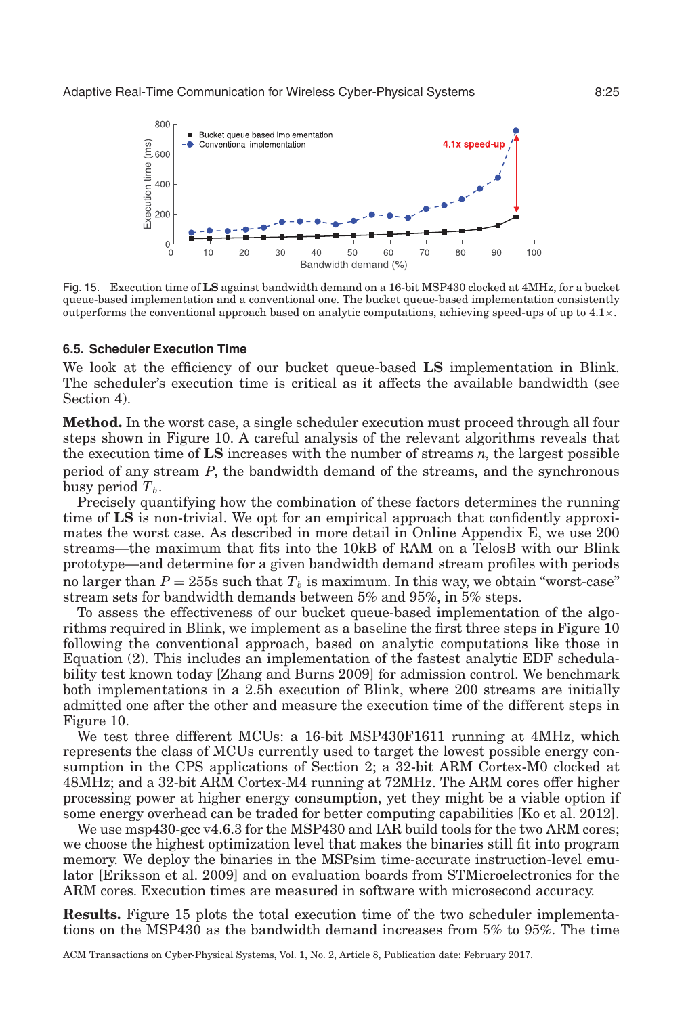

Fig. 15. Execution time of **LS** against bandwidth demand on a 16-bit MSP430 clocked at 4MHz, for a bucket queue-based implementation and a conventional one. The bucket queue-based implementation consistently outperforms the conventional approach based on analytic computations, achieving speed-ups of up to  $4.1 \times$ .

## **6.5. Scheduler Execution Time**

We look at the efficiency of our bucket queue-based **LS** implementation in Blink. The scheduler's execution time is critical as it affects the available bandwidth (see Section 4).

**Method.** In the worst case, a single scheduler execution must proceed through all four steps shown in Figure 10. A careful analysis of the relevant algorithms reveals that the execution time of **LS** increases with the number of streams *n*, the largest possible period of any stream  $\overline{P}$ , the bandwidth demand of the streams, and the synchronous busy period  $T_b$ .

Precisely quantifying how the combination of these factors determines the running time of **LS** is non-trivial. We opt for an empirical approach that confidently approximates the worst case. As described in more detail in Online Appendix E, we use 200 streams—the maximum that fits into the 10kB of RAM on a TelosB with our Blink prototype—and determine for a given bandwidth demand stream profiles with periods no larger than  $\overline{P} = 255$ s such that  $T_b$  is maximum. In this way, we obtain "worst-case" stream sets for bandwidth demands between 5% and 95%, in 5% steps.

To assess the effectiveness of our bucket queue-based implementation of the algorithms required in Blink, we implement as a baseline the first three steps in Figure 10 following the conventional approach, based on analytic computations like those in Equation (2). This includes an implementation of the fastest analytic EDF schedulability test known today [Zhang and Burns 2009] for admission control. We benchmark both implementations in a 2.5h execution of Blink, where 200 streams are initially admitted one after the other and measure the execution time of the different steps in Figure 10.

We test three different MCUs: a 16-bit MSP430F1611 running at 4MHz, which represents the class of MCUs currently used to target the lowest possible energy consumption in the CPS applications of Section 2; a 32-bit ARM Cortex-M0 clocked at 48MHz; and a 32-bit ARM Cortex-M4 running at 72MHz. The ARM cores offer higher processing power at higher energy consumption, yet they might be a viable option if some energy overhead can be traded for better computing capabilities [Ko et al. 2012].

We use msp430-gcc v4.6.3 for the MSP430 and IAR build tools for the two ARM cores; we choose the highest optimization level that makes the binaries still fit into program memory. We deploy the binaries in the MSPsim time-accurate instruction-level emulator [Eriksson et al. 2009] and on evaluation boards from STMicroelectronics for the ARM cores. Execution times are measured in software with microsecond accuracy.

**Results.** Figure 15 plots the total execution time of the two scheduler implementations on the MSP430 as the bandwidth demand increases from 5% to 95%. The time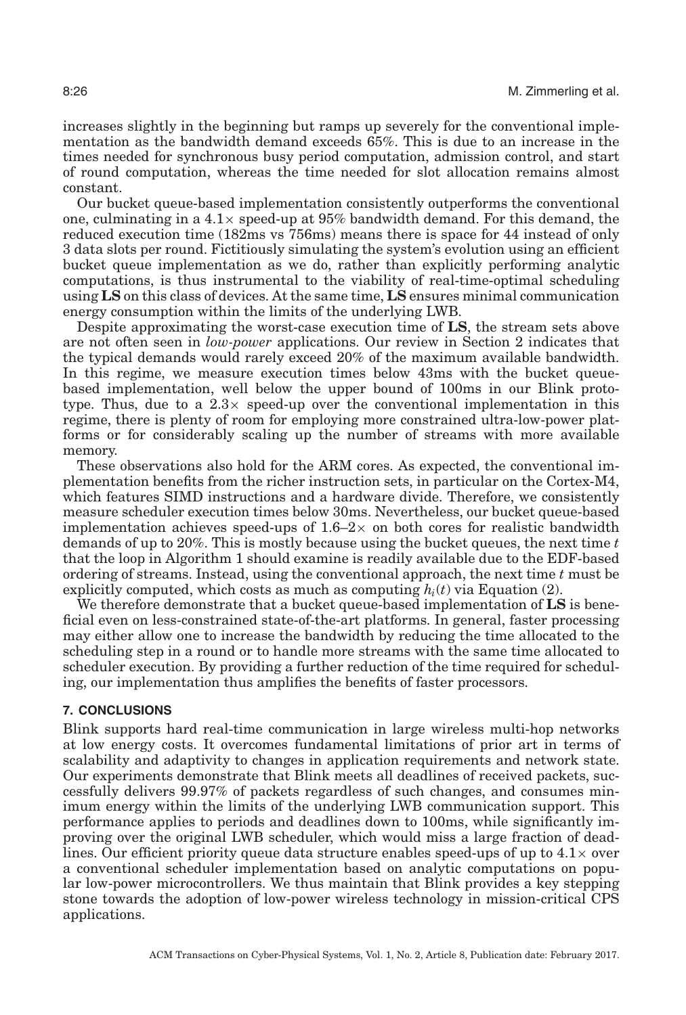increases slightly in the beginning but ramps up severely for the conventional implementation as the bandwidth demand exceeds 65%. This is due to an increase in the times needed for synchronous busy period computation, admission control, and start of round computation, whereas the time needed for slot allocation remains almost constant.

Our bucket queue-based implementation consistently outperforms the conventional one, culminating in a  $4.1\times$  speed-up at 95% bandwidth demand. For this demand, the reduced execution time (182ms vs 756ms) means there is space for 44 instead of only 3 data slots per round. Fictitiously simulating the system's evolution using an efficient bucket queue implementation as we do, rather than explicitly performing analytic computations, is thus instrumental to the viability of real-time-optimal scheduling using **LS** on this class of devices. At the same time, **LS** ensures minimal communication energy consumption within the limits of the underlying LWB.

Despite approximating the worst-case execution time of **LS**, the stream sets above are not often seen in *low-power* applications. Our review in Section 2 indicates that the typical demands would rarely exceed 20% of the maximum available bandwidth. In this regime, we measure execution times below 43ms with the bucket queuebased implementation, well below the upper bound of 100ms in our Blink prototype. Thus, due to a  $2.3\times$  speed-up over the conventional implementation in this regime, there is plenty of room for employing more constrained ultra-low-power platforms or for considerably scaling up the number of streams with more available memory.

These observations also hold for the ARM cores. As expected, the conventional implementation benefits from the richer instruction sets, in particular on the Cortex-M4, which features SIMD instructions and a hardware divide. Therefore, we consistently measure scheduler execution times below 30ms. Nevertheless, our bucket queue-based implementation achieves speed-ups of  $1.6-2\times$  on both cores for realistic bandwidth demands of up to 20%. This is mostly because using the bucket queues, the next time *t* that the loop in Algorithm 1 should examine is readily available due to the EDF-based ordering of streams. Instead, using the conventional approach, the next time *t* must be explicitly computed, which costs as much as computing  $h_i(t)$  via Equation (2).

We therefore demonstrate that a bucket queue-based implementation of **LS** is beneficial even on less-constrained state-of-the-art platforms. In general, faster processing may either allow one to increase the bandwidth by reducing the time allocated to the scheduling step in a round or to handle more streams with the same time allocated to scheduler execution. By providing a further reduction of the time required for scheduling, our implementation thus amplifies the benefits of faster processors.

## **7. CONCLUSIONS**

Blink supports hard real-time communication in large wireless multi-hop networks at low energy costs. It overcomes fundamental limitations of prior art in terms of scalability and adaptivity to changes in application requirements and network state. Our experiments demonstrate that Blink meets all deadlines of received packets, successfully delivers 99.97% of packets regardless of such changes, and consumes minimum energy within the limits of the underlying LWB communication support. This performance applies to periods and deadlines down to 100ms, while significantly improving over the original LWB scheduler, which would miss a large fraction of deadlines. Our efficient priority queue data structure enables speed-ups of up to  $4.1\times$  over a conventional scheduler implementation based on analytic computations on popular low-power microcontrollers. We thus maintain that Blink provides a key stepping stone towards the adoption of low-power wireless technology in mission-critical CPS applications.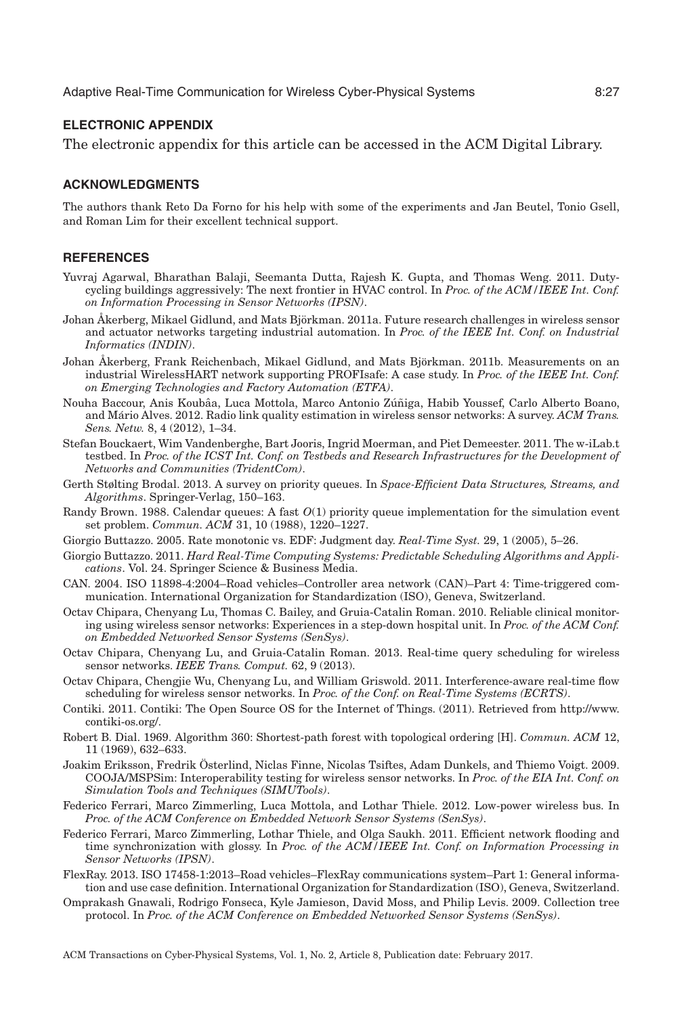# **ELECTRONIC APPENDIX**

The electronic appendix for this article can be accessed in the ACM Digital Library.

## **ACKNOWLEDGMENTS**

The authors thank Reto Da Forno for his help with some of the experiments and Jan Beutel, Tonio Gsell, and Roman Lim for their excellent technical support.

## **REFERENCES**

- Yuvraj Agarwal, Bharathan Balaji, Seemanta Dutta, Rajesh K. Gupta, and Thomas Weng. 2011. Dutycycling buildings aggressively: The next frontier in HVAC control. In *Proc. of the ACM/IEEE Int. Conf. on Information Processing in Sensor Networks (IPSN)*.
- Johan Åkerberg, Mikael Gidlund, and Mats Bjorkman. 2011a. Future research challenges in wireless sensor ¨ and actuator networks targeting industrial automation. In *Proc. of the IEEE Int. Conf. on Industrial Informatics (INDIN)*.
- Johan Åkerberg, Frank Reichenbach, Mikael Gidlund, and Mats Bjorkman. 2011b. Measurements on an ¨ industrial WirelessHART network supporting PROFIsafe: A case study. In *Proc. of the IEEE Int. Conf. on Emerging Technologies and Factory Automation (ETFA)*.
- Nouha Baccour, Anis Koubâa, Luca Mottola, Marco Antonio Zúñiga, Habib Youssef, Carlo Alberto Boano, and Mário Alves. 2012. Radio link quality estimation in wireless sensor networks: A survey. ACM Trans. *Sens. Netw.* 8, 4 (2012), 1–34.
- Stefan Bouckaert, Wim Vandenberghe, Bart Jooris, Ingrid Moerman, and Piet Demeester. 2011. The w-iLab.t testbed. In *Proc. of the ICST Int. Conf. on Testbeds and Research Infrastructures for the Development of Networks and Communities (TridentCom)*.
- Gerth Stølting Brodal. 2013. A survey on priority queues. In *Space-Efficient Data Structures, Streams, and Algorithms*. Springer-Verlag, 150–163.
- Randy Brown. 1988. Calendar queues: A fast *O*(1) priority queue implementation for the simulation event set problem. *Commun. ACM* 31, 10 (1988), 1220–1227.
- Giorgio Buttazzo. 2005. Rate monotonic vs. EDF: Judgment day. *Real-Time Syst.* 29, 1 (2005), 5–26.
- Giorgio Buttazzo. 2011. *Hard Real-Time Computing Systems: Predictable Scheduling Algorithms and Applications*. Vol. 24. Springer Science & Business Media.
- CAN. 2004. ISO 11898-4:2004–Road vehicles–Controller area network (CAN)–Part 4: Time-triggered communication. International Organization for Standardization (ISO), Geneva, Switzerland.
- Octav Chipara, Chenyang Lu, Thomas C. Bailey, and Gruia-Catalin Roman. 2010. Reliable clinical monitoring using wireless sensor networks: Experiences in a step-down hospital unit. In *Proc. of the ACM Conf. on Embedded Networked Sensor Systems (SenSys)*.
- Octav Chipara, Chenyang Lu, and Gruia-Catalin Roman. 2013. Real-time query scheduling for wireless sensor networks. *IEEE Trans. Comput.* 62, 9 (2013).
- Octav Chipara, Chengjie Wu, Chenyang Lu, and William Griswold. 2011. Interference-aware real-time flow scheduling for wireless sensor networks. In *Proc. of the Conf. on Real-Time Systems (ECRTS)*.
- Contiki. 2011. Contiki: The Open Source OS for the Internet of Things. (2011). Retrieved from http://www. contiki-os.org/.
- Robert B. Dial. 1969. Algorithm 360: Shortest-path forest with topological ordering [H]. *Commun. ACM* 12, 11 (1969), 632–633.
- Joakim Eriksson, Fredrik Osterlind, Niclas Finne, Nicolas Tsiftes, Adam Dunkels, and Thiemo Voigt. 2009. ¨ COOJA/MSPSim: Interoperability testing for wireless sensor networks. In *Proc. of the EIA Int. Conf. on Simulation Tools and Techniques (SIMUTools)*.
- Federico Ferrari, Marco Zimmerling, Luca Mottola, and Lothar Thiele. 2012. Low-power wireless bus. In *Proc. of the ACM Conference on Embedded Network Sensor Systems (SenSys)*.
- Federico Ferrari, Marco Zimmerling, Lothar Thiele, and Olga Saukh. 2011. Efficient network flooding and time synchronization with glossy. In *Proc. of the ACM/IEEE Int. Conf. on Information Processing in Sensor Networks (IPSN)*.
- FlexRay. 2013. ISO 17458-1:2013–Road vehicles–FlexRay communications system–Part 1: General information and use case definition. International Organization for Standardization (ISO), Geneva, Switzerland.
- Omprakash Gnawali, Rodrigo Fonseca, Kyle Jamieson, David Moss, and Philip Levis. 2009. Collection tree protocol. In *Proc. of the ACM Conference on Embedded Networked Sensor Systems (SenSys)*.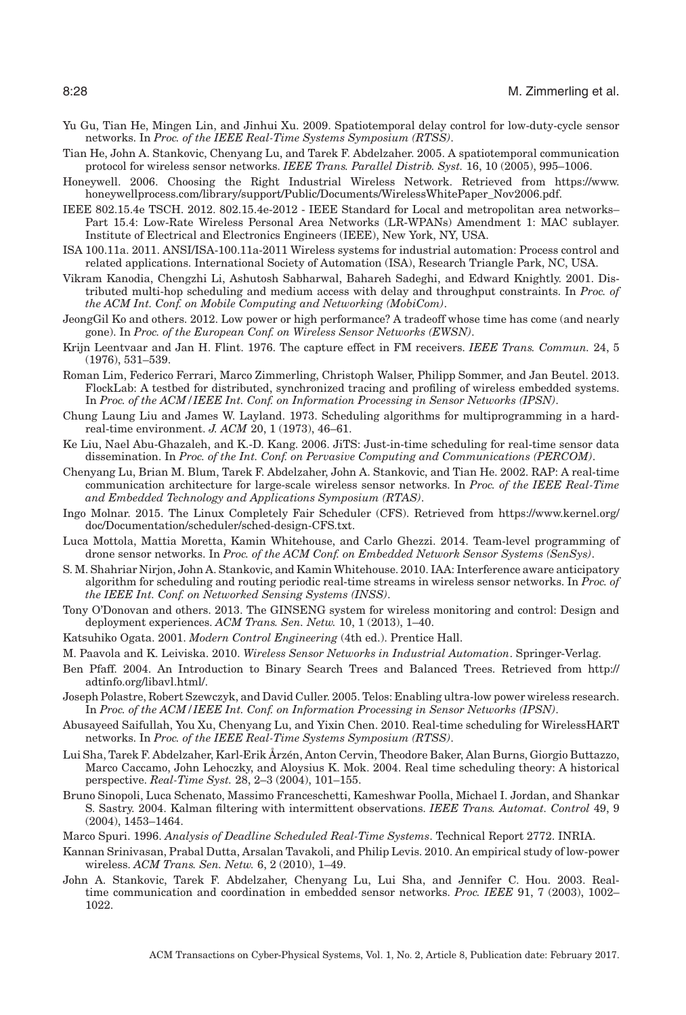- Yu Gu, Tian He, Mingen Lin, and Jinhui Xu. 2009. Spatiotemporal delay control for low-duty-cycle sensor networks. In *Proc. of the IEEE Real-Time Systems Symposium (RTSS)*.
- Tian He, John A. Stankovic, Chenyang Lu, and Tarek F. Abdelzaher. 2005. A spatiotemporal communication protocol for wireless sensor networks. *IEEE Trans. Parallel Distrib. Syst.* 16, 10 (2005), 995–1006.
- Honeywell. 2006. Choosing the Right Industrial Wireless Network. Retrieved from https://www. honeywellprocess.com/library/support/Public/Documents/WirelessWhitePaper\_Nov2006.pdf.
- IEEE 802.15.4e TSCH. 2012. 802.15.4e-2012 IEEE Standard for Local and metropolitan area networks– Part 15.4: Low-Rate Wireless Personal Area Networks (LR-WPANs) Amendment 1: MAC sublayer. Institute of Electrical and Electronics Engineers (IEEE), New York, NY, USA.
- ISA 100.11a. 2011. ANSI/ISA-100.11a-2011 Wireless systems for industrial automation: Process control and related applications. International Society of Automation (ISA), Research Triangle Park, NC, USA.
- Vikram Kanodia, Chengzhi Li, Ashutosh Sabharwal, Bahareh Sadeghi, and Edward Knightly. 2001. Distributed multi-hop scheduling and medium access with delay and throughput constraints. In *Proc. of the ACM Int. Conf. on Mobile Computing and Networking (MobiCom)*.
- JeongGil Ko and others. 2012. Low power or high performance? A tradeoff whose time has come (and nearly gone). In *Proc. of the European Conf. on Wireless Sensor Networks (EWSN)*.
- Krijn Leentvaar and Jan H. Flint. 1976. The capture effect in FM receivers. *IEEE Trans. Commun.* 24, 5 (1976), 531–539.
- Roman Lim, Federico Ferrari, Marco Zimmerling, Christoph Walser, Philipp Sommer, and Jan Beutel. 2013. FlockLab: A testbed for distributed, synchronized tracing and profiling of wireless embedded systems. In *Proc. of the ACM/IEEE Int. Conf. on Information Processing in Sensor Networks (IPSN)*.
- Chung Laung Liu and James W. Layland. 1973. Scheduling algorithms for multiprogramming in a hardreal-time environment. *J. ACM* 20, 1 (1973), 46–61.
- Ke Liu, Nael Abu-Ghazaleh, and K.-D. Kang. 2006. JiTS: Just-in-time scheduling for real-time sensor data dissemination. In *Proc. of the Int. Conf. on Pervasive Computing and Communications (PERCOM)*.
- Chenyang Lu, Brian M. Blum, Tarek F. Abdelzaher, John A. Stankovic, and Tian He. 2002. RAP: A real-time communication architecture for large-scale wireless sensor networks. In *Proc. of the IEEE Real-Time and Embedded Technology and Applications Symposium (RTAS)*.
- Ingo Molnar. 2015. The Linux Completely Fair Scheduler (CFS). Retrieved from https://www.kernel.org/ doc/Documentation/scheduler/sched-design-CFS.txt.
- Luca Mottola, Mattia Moretta, Kamin Whitehouse, and Carlo Ghezzi. 2014. Team-level programming of drone sensor networks. In *Proc. of the ACM Conf. on Embedded Network Sensor Systems (SenSys)*.
- S. M. Shahriar Nirjon, John A. Stankovic, and Kamin Whitehouse. 2010. IAA: Interference aware anticipatory algorithm for scheduling and routing periodic real-time streams in wireless sensor networks. In *Proc. of the IEEE Int. Conf. on Networked Sensing Systems (INSS)*.
- Tony O'Donovan and others. 2013. The GINSENG system for wireless monitoring and control: Design and deployment experiences. *ACM Trans. Sen. Netw.* 10, 1 (2013), 1–40.
- Katsuhiko Ogata. 2001. *Modern Control Engineering* (4th ed.). Prentice Hall.
- M. Paavola and K. Leiviska. 2010. *Wireless Sensor Networks in Industrial Automation*. Springer-Verlag.
- Ben Pfaff. 2004. An Introduction to Binary Search Trees and Balanced Trees. Retrieved from http:// adtinfo.org/libavl.html/.
- Joseph Polastre, Robert Szewczyk, and David Culler. 2005. Telos: Enabling ultra-low power wireless research. In *Proc. of the ACM/IEEE Int. Conf. on Information Processing in Sensor Networks (IPSN)*.
- Abusayeed Saifullah, You Xu, Chenyang Lu, and Yixin Chen. 2010. Real-time scheduling for WirelessHART networks. In *Proc. of the IEEE Real-Time Systems Symposium (RTSS)*.
- Lui Sha, Tarek F. Abdelzaher, Karl-Erik Årzen, Anton Cervin, Theodore Baker, Alan Burns, Giorgio Buttazzo, ´ Marco Caccamo, John Lehoczky, and Aloysius K. Mok. 2004. Real time scheduling theory: A historical perspective. *Real-Time Syst.* 28, 2–3 (2004), 101–155.
- Bruno Sinopoli, Luca Schenato, Massimo Franceschetti, Kameshwar Poolla, Michael I. Jordan, and Shankar S. Sastry. 2004. Kalman filtering with intermittent observations. *IEEE Trans. Automat. Control* 49, 9 (2004), 1453–1464.
- Marco Spuri. 1996. *Analysis of Deadline Scheduled Real-Time Systems*. Technical Report 2772. INRIA.
- Kannan Srinivasan, Prabal Dutta, Arsalan Tavakoli, and Philip Levis. 2010. An empirical study of low-power wireless. *ACM Trans. Sen. Netw.* 6, 2 (2010), 1–49.
- John A. Stankovic, Tarek F. Abdelzaher, Chenyang Lu, Lui Sha, and Jennifer C. Hou. 2003. Realtime communication and coordination in embedded sensor networks. *Proc. IEEE* 91, 7 (2003), 1002– 1022.